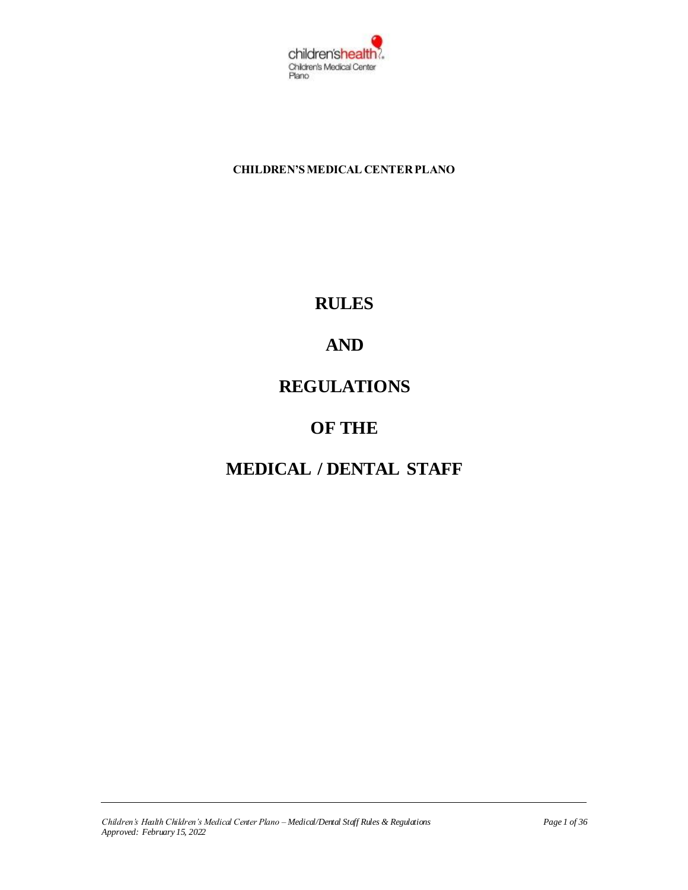

**CHILDREN'S MEDICAL CENTER PLANO**

## **RULES**

# **AND**

## **REGULATIONS**

## **OF THE**

# **MEDICAL / DENTAL STAFF**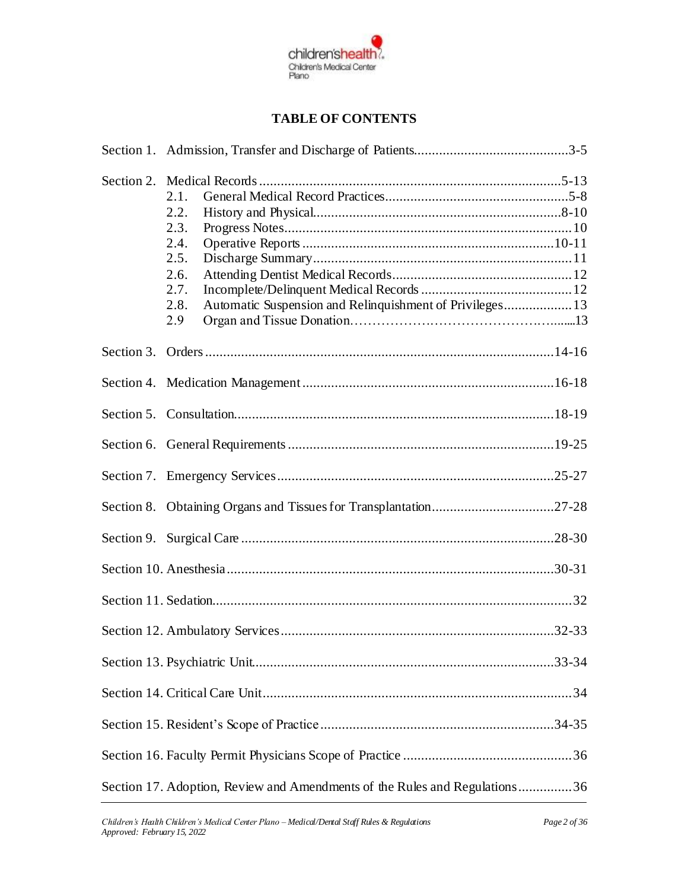

## **TABLE OF CONTENTS**

| Section 2. | 2.1.<br>2.2.<br>2.3.<br>2.4.<br>2.5.<br>2.6.<br>2.7.<br>Automatic Suspension and Relinquishment of Privileges 13<br>2.8.<br>2.9 |  |
|------------|---------------------------------------------------------------------------------------------------------------------------------|--|
|            |                                                                                                                                 |  |
|            |                                                                                                                                 |  |
|            |                                                                                                                                 |  |
|            |                                                                                                                                 |  |
|            |                                                                                                                                 |  |
|            | Section 8. Obtaining Organs and Tissues for Transplantation27-28                                                                |  |
|            |                                                                                                                                 |  |
|            |                                                                                                                                 |  |
|            |                                                                                                                                 |  |
|            |                                                                                                                                 |  |
|            |                                                                                                                                 |  |
|            |                                                                                                                                 |  |
|            |                                                                                                                                 |  |
|            |                                                                                                                                 |  |
|            | Section 17. Adoption, Review and Amendments of the Rules and Regulations36                                                      |  |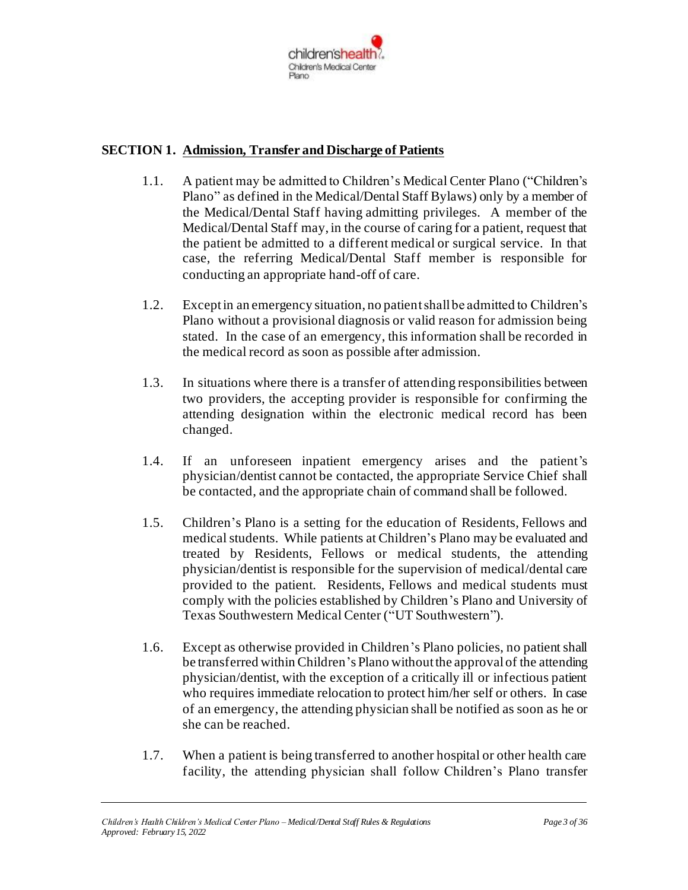

#### **SECTION 1. Admission, Transfer and Discharge of Patients**

- 1.1. A patient may be admitted to Children's Medical Center Plano ("Children's Plano" as defined in the Medical/Dental Staff Bylaws) only by a member of the Medical/Dental Staff having admitting privileges. A member of the Medical/Dental Staff may, in the course of caring for a patient, request that the patient be admitted to a different medical or surgical service. In that case, the referring Medical/Dental Staff member is responsible for conducting an appropriate hand-off of care.
- 1.2. Except in an emergency situation, no patient shall be admitted to Children's Plano without a provisional diagnosis or valid reason for admission being stated. In the case of an emergency, this information shall be recorded in the medical record as soon as possible after admission.
- 1.3. In situations where there is a transfer of attending responsibilities between two providers, the accepting provider is responsible for confirming the attending designation within the electronic medical record has been changed.
- 1.4. If an unforeseen inpatient emergency arises and the patient's physician/dentist cannot be contacted, the appropriate Service Chief shall be contacted, and the appropriate chain of command shall be followed.
- 1.5. Children's Plano is a setting for the education of Residents, Fellows and medical students. While patients at Children's Plano may be evaluated and treated by Residents, Fellows or medical students, the attending physician/dentist is responsible for the supervision of medical/dental care provided to the patient. Residents, Fellows and medical students must comply with the policies established by Children's Plano and University of Texas Southwestern Medical Center ("UT Southwestern").
- 1.6. Except as otherwise provided in Children's Plano policies, no patient shall be transferred within Children's Plano without the approval of the attending physician/dentist, with the exception of a critically ill or infectious patient who requires immediate relocation to protect him/her self or others. In case of an emergency, the attending physician shall be notified as soon as he or she can be reached.
- 1.7. When a patient is being transferred to another hospital or other health care facility, the attending physician shall follow Children's Plano transfer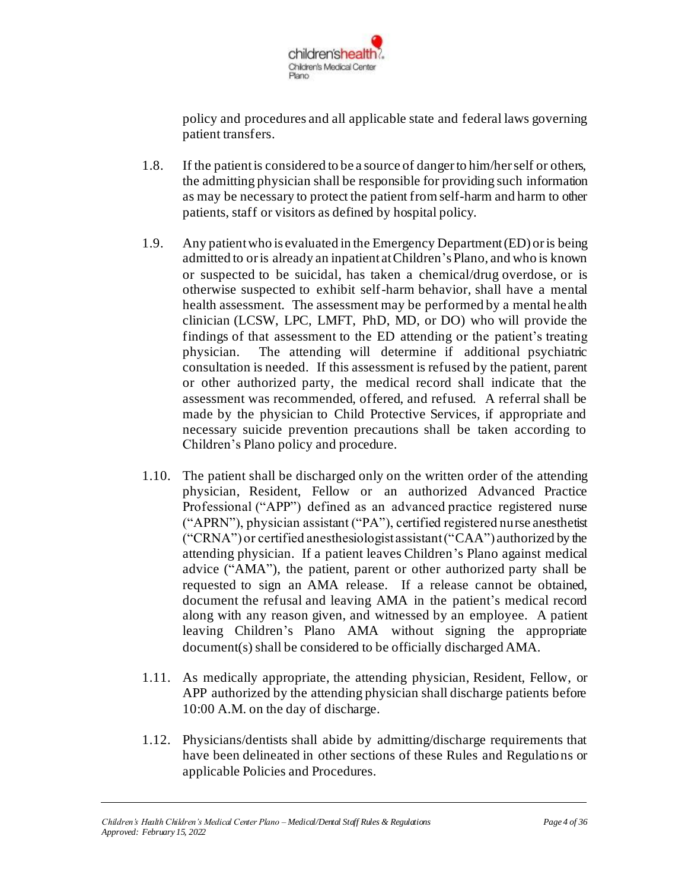

policy and procedures and all applicable state and federal laws governing patient transfers.

- 1.8. If the patient is considered to be a source of danger to him/her self or others, the admitting physician shall be responsible for providing such information as may be necessary to protect the patient from self-harm and harm to other patients, staff or visitors as defined by hospital policy.
- 1.9. Any patient who is evaluated in the Emergency Department(ED) or is being admitted to or is already an inpatient at Children's Plano, and who is known or suspected to be suicidal, has taken a chemical/drug overdose, or is otherwise suspected to exhibit self-harm behavior, shall have a mental health assessment. The assessment may be performed by a mental health clinician (LCSW, LPC, LMFT, PhD, MD, or DO) who will provide the findings of that assessment to the ED attending or the patient's treating physician. The attending will determine if additional psychiatric consultation is needed. If this assessment is refused by the patient, parent or other authorized party, the medical record shall indicate that the assessment was recommended, offered, and refused. A referral shall be made by the physician to Child Protective Services, if appropriate and necessary suicide prevention precautions shall be taken according to Children's Plano policy and procedure.
- 1.10. The patient shall be discharged only on the written order of the attending physician, Resident, Fellow or an authorized Advanced Practice Professional ("APP") defined as an advanced practice registered nurse ("APRN"), physician assistant ("PA"), certified registered nurse anesthetist ("CRNA") or certified anesthesiologist assistant ("CAA") authorized by the attending physician. If a patient leaves Children's Plano against medical advice ("AMA"), the patient, parent or other authorized party shall be requested to sign an AMA release. If a release cannot be obtained, document the refusal and leaving AMA in the patient's medical record along with any reason given, and witnessed by an employee. A patient leaving Children's Plano AMA without signing the appropriate document(s) shall be considered to be officially discharged AMA.
- 1.11. As medically appropriate, the attending physician, Resident, Fellow, or APP authorized by the attending physician shall discharge patients before 10:00 A.M. on the day of discharge.
- 1.12. Physicians/dentists shall abide by admitting/discharge requirements that have been delineated in other sections of these Rules and Regulations or applicable Policies and Procedures.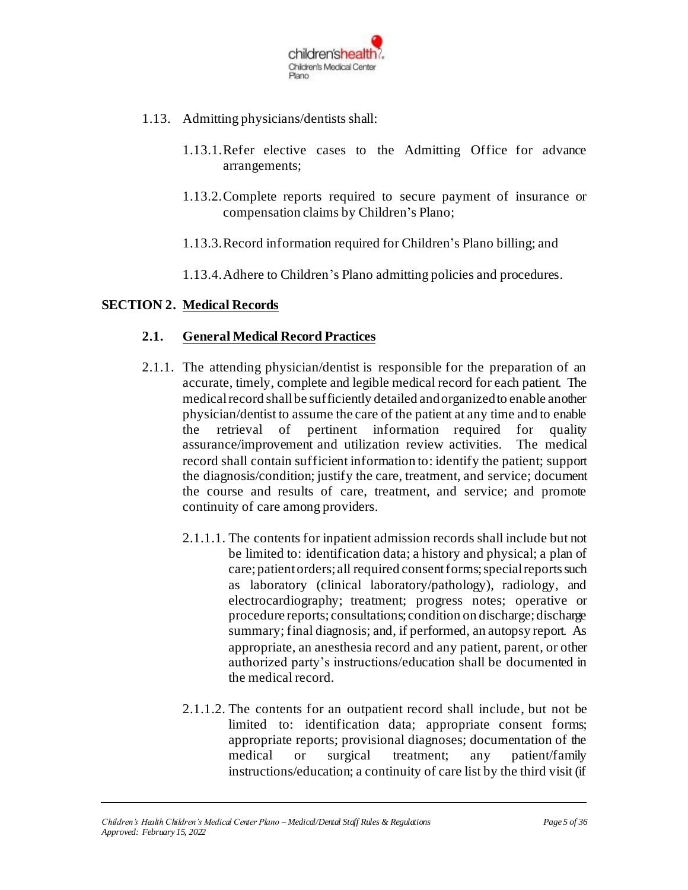

- 1.13. Admitting physicians/dentists shall:
	- 1.13.1.Refer elective cases to the Admitting Office for advance arrangements;
	- 1.13.2.Complete reports required to secure payment of insurance or compensation claims by Children's Plano;
	- 1.13.3.Record information required for Children's Plano billing; and
	- 1.13.4.Adhere to Children's Plano admitting policies and procedures.

#### **SECTION 2. Medical Records**

#### **2.1. General Medical Record Practices**

- 2.1.1. The attending physician/dentist is responsible for the preparation of an accurate, timely, complete and legible medical record for each patient. The medical record shall be sufficiently detailed and organized to enable another physician/dentist to assume the care of the patient at any time and to enable the retrieval of pertinent information required for quality assurance/improvement and utilization review activities. The medical record shall contain sufficient information to: identify the patient; support the diagnosis/condition; justify the care, treatment, and service; document the course and results of care, treatment, and service; and promote continuity of care among providers.
	- 2.1.1.1. The contents for inpatient admission records shall include but not be limited to: identification data; a history and physical; a plan of care; patient orders; all required consent forms; special reports such as laboratory (clinical laboratory/pathology), radiology, and electrocardiography; treatment; progress notes; operative or procedure reports; consultations; condition on discharge; discharge summary; final diagnosis; and, if performed, an autopsy report. As appropriate, an anesthesia record and any patient, parent, or other authorized party's instructions/education shall be documented in the medical record.
	- 2.1.1.2. The contents for an outpatient record shall include, but not be limited to: identification data; appropriate consent forms; appropriate reports; provisional diagnoses; documentation of the medical or surgical treatment; any patient/family instructions/education; a continuity of care list by the third visit (if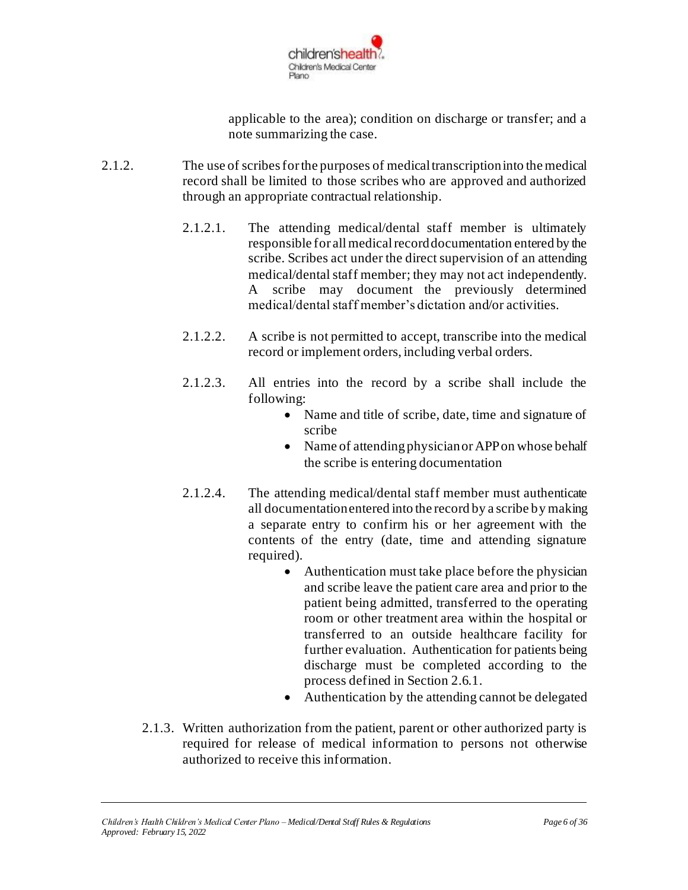

applicable to the area); condition on discharge or transfer; and a note summarizing the case.

- 2.1.2. The use of scribes for the purposes of medical transcription into the medical record shall be limited to those scribes who are approved and authorized through an appropriate contractual relationship.
	- 2.1.2.1. The attending medical/dental staff member is ultimately responsible for all medical record documentation entered by the scribe. Scribes act under the direct supervision of an attending medical/dental staff member; they may not act independently. A scribe may document the previously determined medical/dental staff member's dictation and/or activities.
	- 2.1.2.2. A scribe is not permitted to accept, transcribe into the medical record or implement orders, including verbal orders.
	- 2.1.2.3. All entries into the record by a scribe shall include the following:
		- Name and title of scribe, date, time and signature of scribe
		- Name of attending physician or APP on whose behalf the scribe is entering documentation
	- 2.1.2.4. The attending medical/dental staff member must authenticate all documentation entered into the record by a scribe by making a separate entry to confirm his or her agreement with the contents of the entry (date, time and attending signature required).
		- Authentication must take place before the physician and scribe leave the patient care area and prior to the patient being admitted, transferred to the operating room or other treatment area within the hospital or transferred to an outside healthcare facility for further evaluation. Authentication for patients being discharge must be completed according to the process defined in Section 2.6.1.
		- Authentication by the attending cannot be delegated
	- 2.1.3. Written authorization from the patient, parent or other authorized party is required for release of medical information to persons not otherwise authorized to receive this information.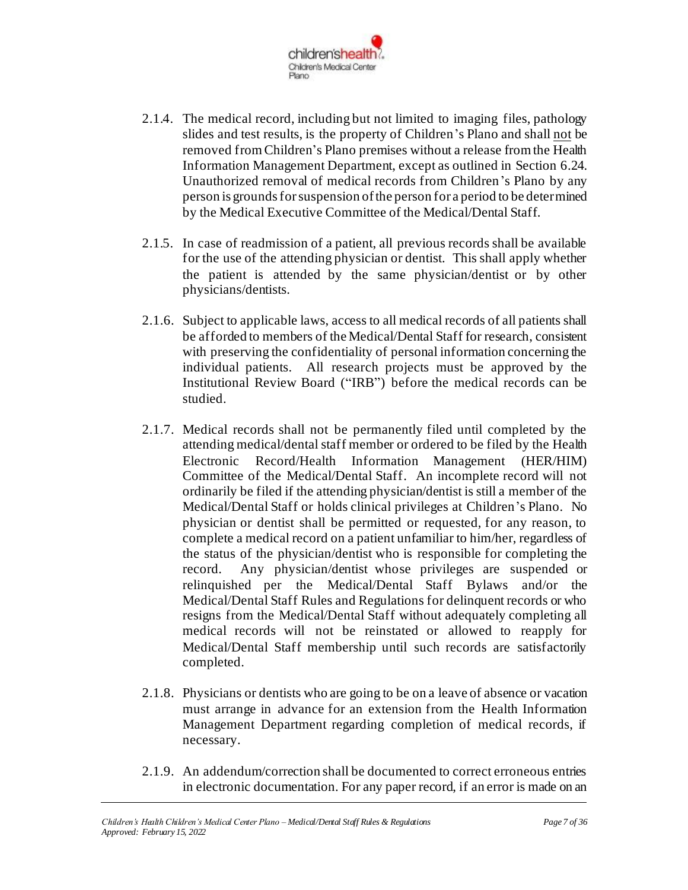

- 2.1.4. The medical record, including but not limited to imaging files, pathology slides and test results, is the property of Children's Plano and shall not be removed from Children's Plano premises without a release from the Health Information Management Department, except as outlined in Section 6.24. Unauthorized removal of medical records from Children's Plano by any person is grounds for suspension of the person for a period to be determined by the Medical Executive Committee of the Medical/Dental Staff.
- 2.1.5. In case of readmission of a patient, all previous records shall be available for the use of the attending physician or dentist. This shall apply whether the patient is attended by the same physician/dentist or by other physicians/dentists.
- 2.1.6. Subject to applicable laws, access to all medical records of all patients shall be afforded to members of the Medical/Dental Staff for research, consistent with preserving the confidentiality of personal information concerning the individual patients. All research projects must be approved by the Institutional Review Board ("IRB") before the medical records can be studied.
- 2.1.7. Medical records shall not be permanently filed until completed by the attending medical/dental staff member or ordered to be filed by the Health Electronic Record/Health Information Management (HER/HIM) Committee of the Medical/Dental Staff. An incomplete record will not ordinarily be filed if the attending physician/dentist is still a member of the Medical/Dental Staff or holds clinical privileges at Children's Plano. No physician or dentist shall be permitted or requested, for any reason, to complete a medical record on a patient unfamiliar to him/her, regardless of the status of the physician/dentist who is responsible for completing the record. Any physician/dentist whose privileges are suspended or relinquished per the Medical/Dental Staff Bylaws and/or the Medical/Dental Staff Rules and Regulations for delinquent records or who resigns from the Medical/Dental Staff without adequately completing all medical records will not be reinstated or allowed to reapply for Medical/Dental Staff membership until such records are satisfactorily completed.
- 2.1.8. Physicians or dentists who are going to be on a leave of absence or vacation must arrange in advance for an extension from the Health Information Management Department regarding completion of medical records, if necessary.
- 2.1.9. An addendum/correction shall be documented to correct erroneous entries in electronic documentation. For any paper record, if an error is made on an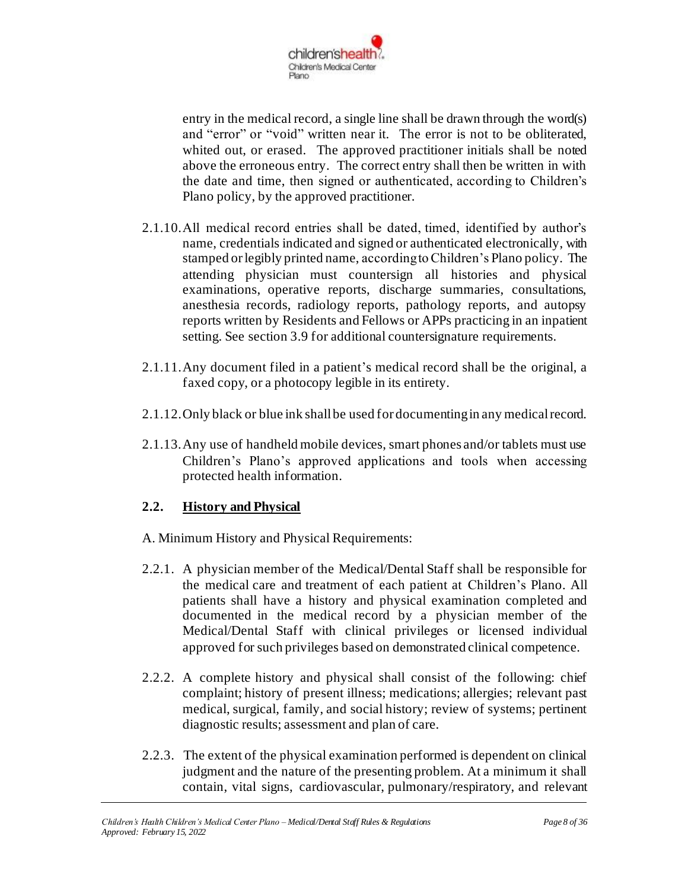

entry in the medical record, a single line shall be drawn through the word(s) and "error" or "void" written near it. The error is not to be obliterated, whited out, or erased. The approved practitioner initials shall be noted above the erroneous entry. The correct entry shall then be written in with the date and time, then signed or authenticated, according to Children's Plano policy, by the approved practitioner.

- 2.1.10.All medical record entries shall be dated, timed, identified by author's name, credentials indicated and signed or authenticated electronically, with stamped or legibly printed name, according to Children's Plano policy. The attending physician must countersign all histories and physical examinations, operative reports, discharge summaries, consultations, anesthesia records, radiology reports, pathology reports, and autopsy reports written by Residents and Fellows or APPs practicing in an inpatient setting. See section 3.9 for additional countersignature requirements.
- 2.1.11.Any document filed in a patient's medical record shall be the original, a faxed copy, or a photocopy legible in its entirety.
- 2.1.12.Only black or blue ink shall be used for documenting in any medical record.
- 2.1.13.Any use of handheld mobile devices, smart phones and/or tablets must use Children's Plano's approved applications and tools when accessing protected health information.

### **2.2. History and Physical**

- A. Minimum History and Physical Requirements:
- 2.2.1. A physician member of the Medical/Dental Staff shall be responsible for the medical care and treatment of each patient at Children's Plano. All patients shall have a history and physical examination completed and documented in the medical record by a physician member of the Medical/Dental Staff with clinical privileges or licensed individual approved for such privileges based on demonstrated clinical competence.
- 2.2.2. A complete history and physical shall consist of the following: chief complaint; history of present illness; medications; allergies; relevant past medical, surgical, family, and social history; review of systems; pertinent diagnostic results; assessment and plan of care.
- 2.2.3. The extent of the physical examination performed is dependent on clinical judgment and the nature of the presenting problem. At a minimum it shall contain, vital signs, cardiovascular, pulmonary/respiratory, and relevant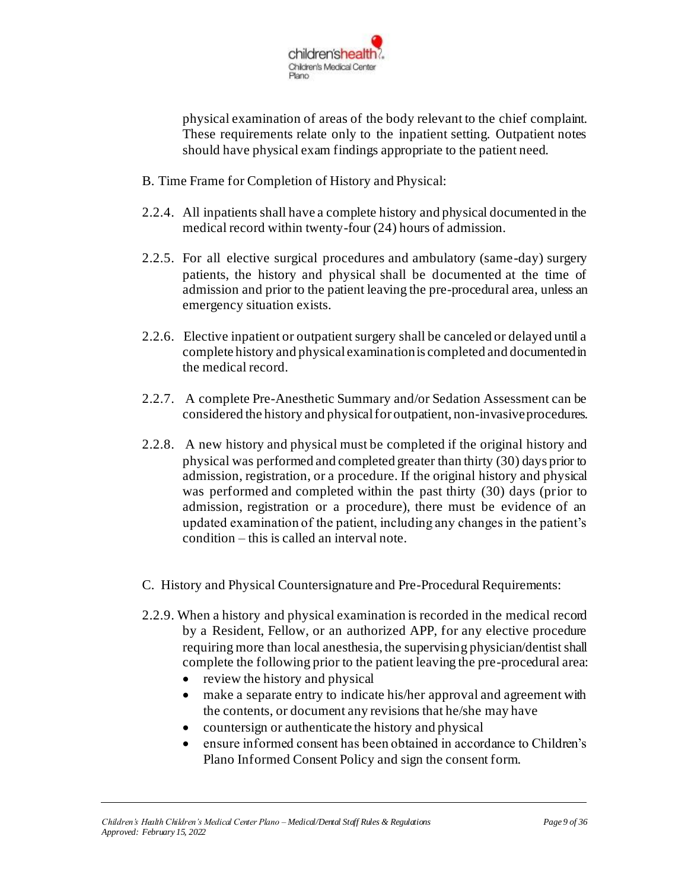

physical examination of areas of the body relevant to the chief complaint. These requirements relate only to the inpatient setting. Outpatient notes should have physical exam findings appropriate to the patient need.

- B. Time Frame for Completion of History and Physical:
- 2.2.4. All inpatients shall have a complete history and physical documented in the medical record within twenty-four (24) hours of admission.
- 2.2.5. For all elective surgical procedures and ambulatory (same-day) surgery patients, the history and physical shall be documented at the time of admission and prior to the patient leaving the pre-procedural area, unless an emergency situation exists.
- 2.2.6. Elective inpatient or outpatient surgery shall be canceled or delayed until a complete history and physical examination is completed and documented in the medical record.
- 2.2.7. A complete Pre-Anesthetic Summary and/or Sedation Assessment can be considered the history and physical for outpatient, non-invasive procedures.
- 2.2.8. A new history and physical must be completed if the original history and physical was performed and completed greater than thirty (30) days prior to admission, registration, or a procedure. If the original history and physical was performed and completed within the past thirty (30) days (prior to admission, registration or a procedure), there must be evidence of an updated examination of the patient, including any changes in the patient's condition – this is called an interval note.
- C. History and Physical Countersignature and Pre-Procedural Requirements:
- 2.2.9. When a history and physical examination is recorded in the medical record by a Resident, Fellow, or an authorized APP, for any elective procedure requiring more than local anesthesia, the supervising physician/dentist shall complete the following prior to the patient leaving the pre-procedural area:
	- review the history and physical
	- make a separate entry to indicate his/her approval and agreement with the contents, or document any revisions that he/she may have
	- countersign or authenticate the history and physical
	- ensure informed consent has been obtained in accordance to Children's Plano Informed Consent Policy and sign the consent form.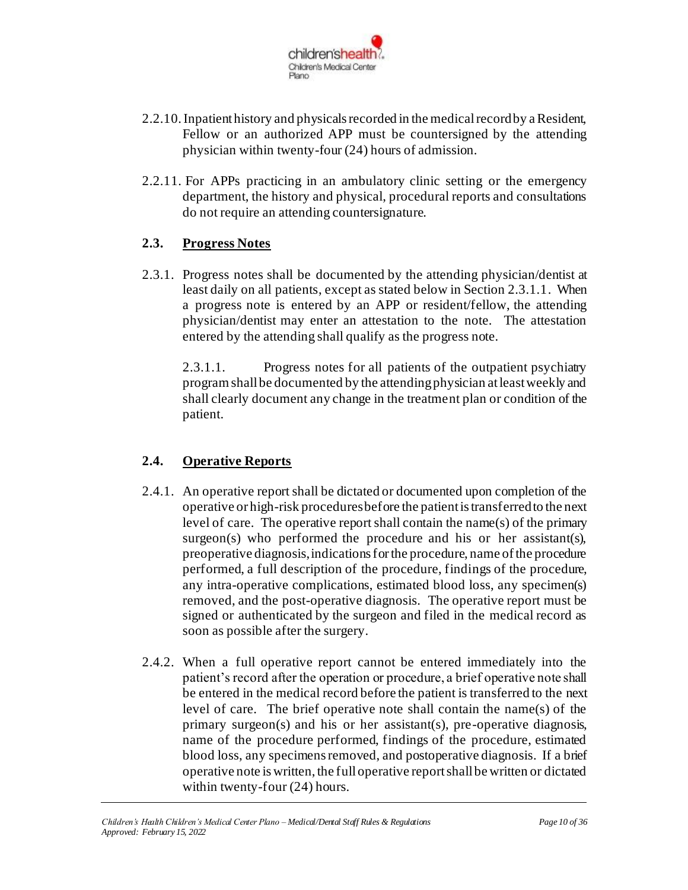

- 2.2.10.Inpatient history and physicals recorded in the medical record by a Resident, Fellow or an authorized APP must be countersigned by the attending physician within twenty-four (24) hours of admission.
- 2.2.11. For APPs practicing in an ambulatory clinic setting or the emergency department, the history and physical, procedural reports and consultations do not require an attending countersignature.

### **2.3. Progress Notes**

2.3.1. Progress notes shall be documented by the attending physician/dentist at least daily on all patients, except as stated below in Section 2.3.1.1. When a progress note is entered by an APP or resident/fellow, the attending physician/dentist may enter an attestation to the note. The attestation entered by the attending shall qualify as the progress note.

2.3.1.1. Progress notes for all patients of the outpatient psychiatry program shall be documented by the attending physician at least weekly and shall clearly document any change in the treatment plan or condition of the patient.

## **2.4. Operative Reports**

- 2.4.1. An operative report shall be dictated or documented upon completion of the operative or high-risk procedures before the patient is transferred to the next level of care. The operative report shall contain the name(s) of the primary surgeon(s) who performed the procedure and his or her assistant(s), preoperative diagnosis, indications for the procedure, name of the procedure performed, a full description of the procedure, findings of the procedure, any intra-operative complications, estimated blood loss, any specimen(s) removed, and the post-operative diagnosis. The operative report must be signed or authenticated by the surgeon and filed in the medical record as soon as possible after the surgery.
- 2.4.2. When a full operative report cannot be entered immediately into the patient's record after the operation or procedure, a brief operative note shall be entered in the medical record before the patient is transferred to the next level of care. The brief operative note shall contain the name(s) of the primary surgeon(s) and his or her assistant(s), pre-operative diagnosis, name of the procedure performed, findings of the procedure, estimated blood loss, any specimens removed, and postoperative diagnosis. If a brief operative note is written, the full operative report shall be written or dictated within twenty-four (24) hours.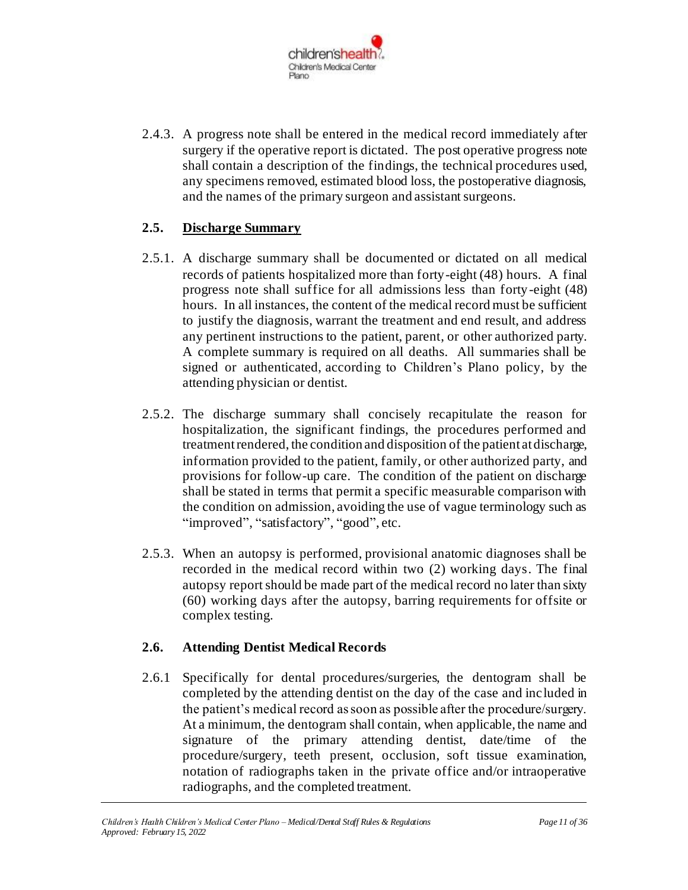

2.4.3. A progress note shall be entered in the medical record immediately after surgery if the operative report is dictated. The post operative progress note shall contain a description of the findings, the technical procedures used, any specimens removed, estimated blood loss, the postoperative diagnosis, and the names of the primary surgeon and assistant surgeons.

### **2.5. Discharge Summary**

- 2.5.1. A discharge summary shall be documented or dictated on all medical records of patients hospitalized more than forty-eight (48) hours. A final progress note shall suffice for all admissions less than forty-eight (48) hours. In all instances, the content of the medical record must be sufficient to justify the diagnosis, warrant the treatment and end result, and address any pertinent instructions to the patient, parent, or other authorized party. A complete summary is required on all deaths. All summaries shall be signed or authenticated, according to Children's Plano policy, by the attending physician or dentist.
- 2.5.2. The discharge summary shall concisely recapitulate the reason for hospitalization, the significant findings, the procedures performed and treatment rendered, the condition and disposition of the patient atdischarge, information provided to the patient, family, or other authorized party, and provisions for follow-up care. The condition of the patient on discharge shall be stated in terms that permit a specific measurable comparison with the condition on admission, avoiding the use of vague terminology such as "improved", "satisfactory", "good", etc.
- 2.5.3. When an autopsy is performed, provisional anatomic diagnoses shall be recorded in the medical record within two (2) working days. The final autopsy report should be made part of the medical record no later than sixty (60) working days after the autopsy, barring requirements for offsite or complex testing.

#### **2.6. Attending Dentist Medical Records**

2.6.1 Specifically for dental procedures/surgeries, the dentogram shall be completed by the attending dentist on the day of the case and included in the patient's medical record as soon as possible after the procedure/surgery. At a minimum, the dentogram shall contain, when applicable, the name and signature of the primary attending dentist, date/time of the procedure/surgery, teeth present, occlusion, soft tissue examination, notation of radiographs taken in the private office and/or intraoperative radiographs, and the completed treatment.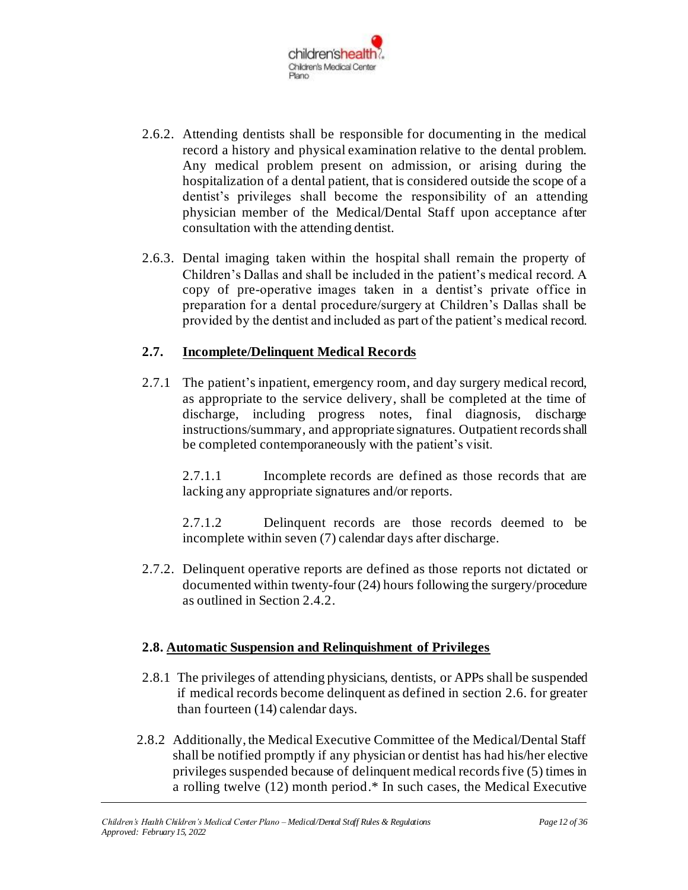

- 2.6.2. Attending dentists shall be responsible for documenting in the medical record a history and physical examination relative to the dental problem. Any medical problem present on admission, or arising during the hospitalization of a dental patient, that is considered outside the scope of a dentist's privileges shall become the responsibility of an attending physician member of the Medical/Dental Staff upon acceptance after consultation with the attending dentist.
- 2.6.3. Dental imaging taken within the hospital shall remain the property of Children's Dallas and shall be included in the patient's medical record. A copy of pre-operative images taken in a dentist's private office in preparation for a dental procedure/surgery at Children's Dallas shall be provided by the dentist and included as part of the patient's medical record.

#### **2.7. Incomplete/Delinquent Medical Records**

2.7.1 The patient's inpatient, emergency room, and day surgery medical record, as appropriate to the service delivery, shall be completed at the time of discharge, including progress notes, final diagnosis, discharge instructions/summary, and appropriate signatures. Outpatient records shall be completed contemporaneously with the patient's visit.

2.7.1.1 Incomplete records are defined as those records that are lacking any appropriate signatures and/or reports.

2.7.1.2 Delinquent records are those records deemed to be incomplete within seven (7) calendar days after discharge.

2.7.2. Delinquent operative reports are defined as those reports not dictated or documented within twenty-four (24) hours following the surgery/procedure as outlined in Section 2.4.2.

#### **2.8. Automatic Suspension and Relinquishment of Privileges**

- 2.8.1 The privileges of attending physicians, dentists, or APPs shall be suspended if medical records become delinquent as defined in section 2.6. for greater than fourteen (14) calendar days.
- 2.8.2 Additionally, the Medical Executive Committee of the Medical/Dental Staff shall be notified promptly if any physician or dentist has had his/her elective privileges suspended because of delinquent medical records five (5) times in a rolling twelve (12) month period.\* In such cases, the Medical Executive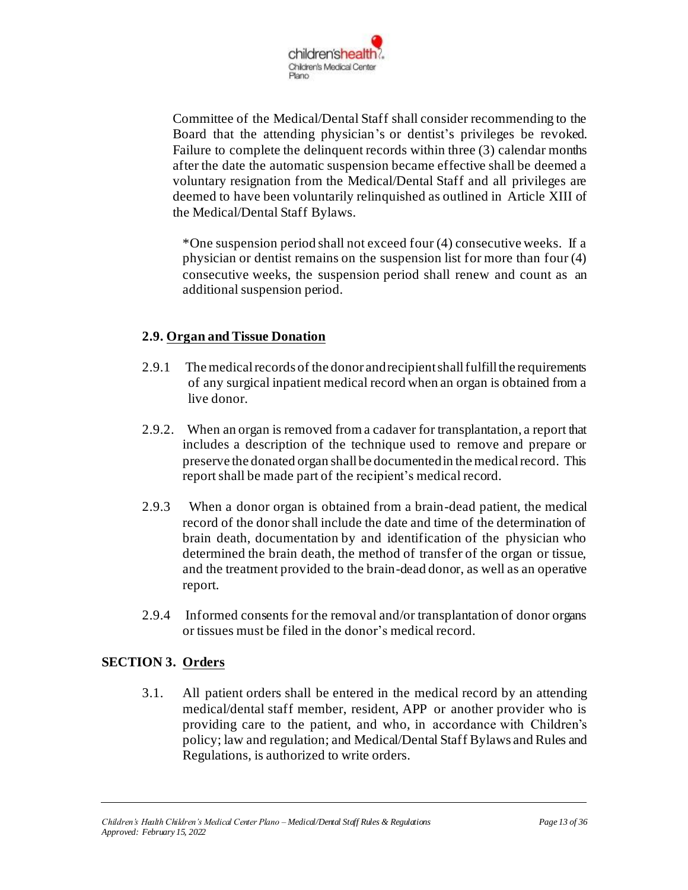

Committee of the Medical/Dental Staff shall consider recommending to the Board that the attending physician's or dentist's privileges be revoked. Failure to complete the delinquent records within three (3) calendar months after the date the automatic suspension became effective shall be deemed a voluntary resignation from the Medical/Dental Staff and all privileges are deemed to have been voluntarily relinquished as outlined in Article XIII of the Medical/Dental Staff Bylaws.

\*One suspension period shall not exceed four (4) consecutive weeks. If a physician or dentist remains on the suspension list for more than four (4) consecutive weeks, the suspension period shall renew and count as an additional suspension period.

### **2.9. Organ and Tissue Donation**

- 2.9.1 The medical records of the donor and recipient shall fulfill the requirements of any surgical inpatient medical record when an organ is obtained from a live donor.
- 2.9.2. When an organ is removed from a cadaver for transplantation, a report that includes a description of the technique used to remove and prepare or preserve the donated organ shall be documented in the medical record. This report shall be made part of the recipient's medical record.
- 2.9.3 When a donor organ is obtained from a brain-dead patient, the medical record of the donor shall include the date and time of the determination of brain death, documentation by and identification of the physician who determined the brain death, the method of transfer of the organ or tissue, and the treatment provided to the brain-dead donor, as well as an operative report.
- 2.9.4 Informed consents for the removal and/or transplantation of donor organs or tissues must be filed in the donor's medical record.

### **SECTION 3. Orders**

3.1. All patient orders shall be entered in the medical record by an attending medical/dental staff member, resident, APP or another provider who is providing care to the patient, and who, in accordance with Children's policy; law and regulation; and Medical/Dental Staff Bylaws and Rules and Regulations, is authorized to write orders.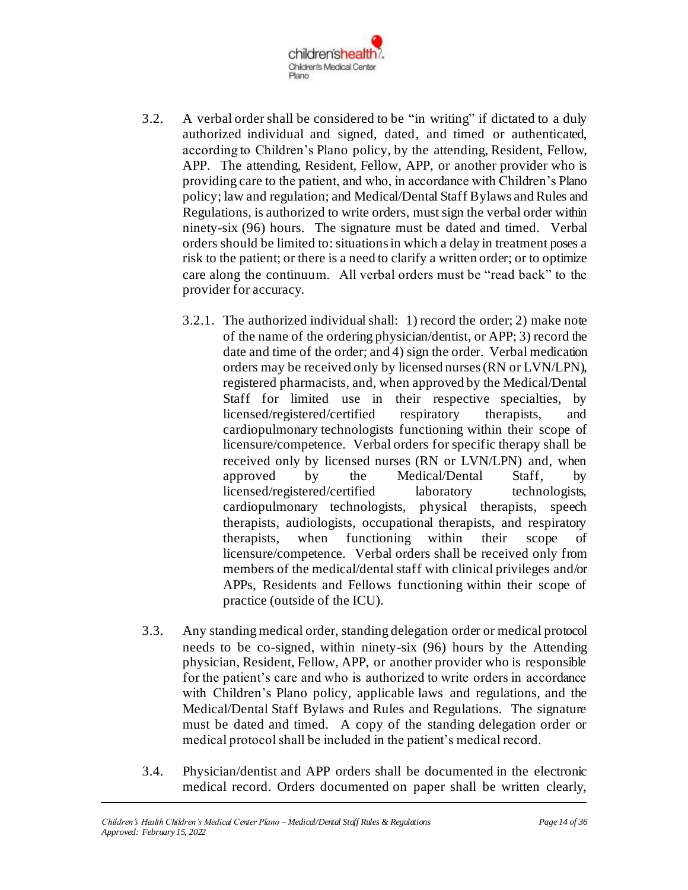

- 3.2. A verbal order shall be considered to be "in writing" if dictated to a duly authorized individual and signed, dated, and timed or authenticated, according to Children's Plano policy, by the attending, Resident, Fellow, APP. The attending, Resident, Fellow, APP, or another provider who is providing care to the patient, and who, in accordance with Children's Plano policy; law and regulation; and Medical/Dental Staff Bylaws and Rules and Regulations, is authorized to write orders, must sign the verbal order within ninety-six (96) hours. The signature must be dated and timed. Verbal orders should be limited to:situations in which a delay in treatment poses a risk to the patient; or there is a need to clarify a written order; or to optimize care along the continuum. All verbal orders must be "read back" to the provider for accuracy.
	- 3.2.1. The authorized individual shall: 1) record the order; 2) make note of the name of the ordering physician/dentist, or APP; 3) record the date and time of the order; and 4) sign the order. Verbal medication orders may be received only by licensed nurses (RN or LVN/LPN), registered pharmacists, and, when approved by the Medical/Dental Staff for limited use in their respective specialties, by licensed/registered/certified respiratory therapists, and cardiopulmonary technologists functioning within their scope of licensure/competence. Verbal orders for specific therapy shall be received only by licensed nurses (RN or LVN/LPN) and, when approved by the Medical/Dental Staff, by licensed/registered/certified laboratory technologists, cardiopulmonary technologists, physical therapists, speech therapists, audiologists, occupational therapists, and respiratory therapists, when functioning within their scope of licensure/competence. Verbal orders shall be received only from members of the medical/dental staff with clinical privileges and/or APPs, Residents and Fellows functioning within their scope of practice (outside of the ICU).
- 3.3. Any standing medical order, standing delegation order or medical protocol needs to be co-signed, within ninety-six (96) hours by the Attending physician, Resident, Fellow, APP, or another provider who is responsible for the patient's care and who is authorized to write orders in accordance with Children's Plano policy, applicable laws and regulations, and the Medical/Dental Staff Bylaws and Rules and Regulations. The signature must be dated and timed. A copy of the standing delegation order or medical protocol shall be included in the patient's medical record.
- 3.4. Physician/dentist and APP orders shall be documented in the electronic medical record. Orders documented on paper shall be written clearly,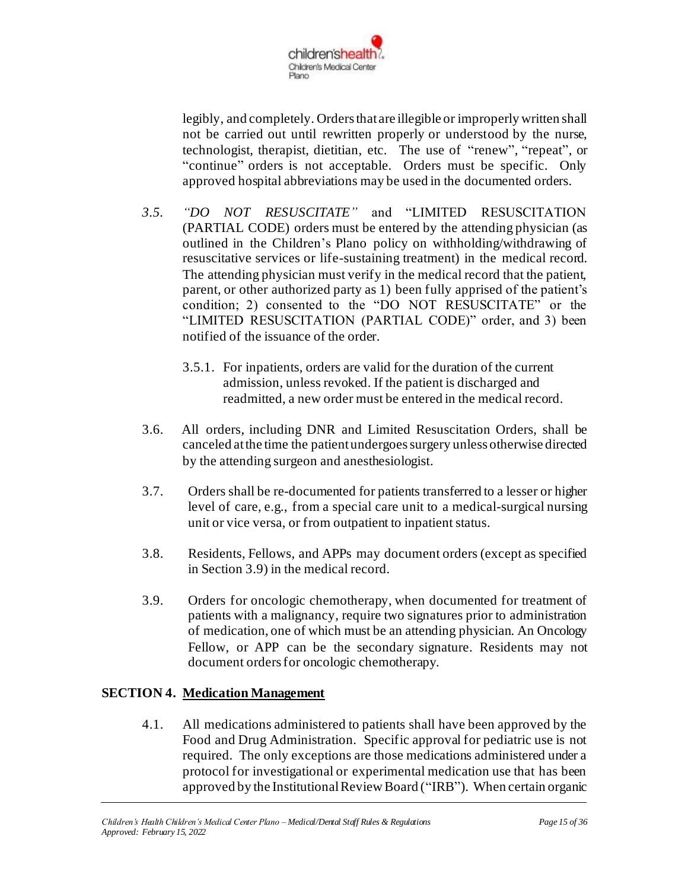

legibly, and completely. Orders that are illegible or improperly written shall not be carried out until rewritten properly or understood by the nurse, technologist, therapist, dietitian, etc. The use of "renew", "repeat", or "continue" orders is not acceptable. Orders must be specific. Only approved hospital abbreviations may be used in the documented orders.

- *3.5. "DO NOT RESUSCITATE"* and "LIMITED RESUSCITATION (PARTIAL CODE) orders must be entered by the attending physician (as outlined in the Children's Plano policy on withholding/withdrawing of resuscitative services or life-sustaining treatment) in the medical record. The attending physician must verify in the medical record that the patient, parent, or other authorized party as 1) been fully apprised of the patient's condition; 2) consented to the "DO NOT RESUSCITATE" or the "LIMITED RESUSCITATION (PARTIAL CODE)" order, and 3) been notified of the issuance of the order.
	- 3.5.1. For inpatients, orders are valid for the duration of the current admission, unless revoked. If the patient is discharged and readmitted, a new order must be entered in the medical record.
- 3.6. All orders, including DNR and Limited Resuscitation Orders, shall be canceled at the time the patient undergoes surgery unless otherwise directed by the attending surgeon and anesthesiologist.
- 3.7. Orders shall be re-documented for patients transferred to a lesser or higher level of care, e.g., from a special care unit to a medical-surgical nursing unit or vice versa, or from outpatient to inpatient status.
- 3.8. Residents, Fellows, and APPs may document orders (except as specified in Section 3.9) in the medical record.
- 3.9. Orders for oncologic chemotherapy, when documented for treatment of patients with a malignancy, require two signatures prior to administration of medication, one of which must be an attending physician. An Oncology Fellow, or APP can be the secondary signature. Residents may not document orders for oncologic chemotherapy.

### **SECTION 4. Medication Management**

4.1. All medications administered to patients shall have been approved by the Food and Drug Administration. Specific approval for pediatric use is not required. The only exceptions are those medications administered under a protocol for investigational or experimental medication use that has been approved by the Institutional Review Board ("IRB"). When certain organic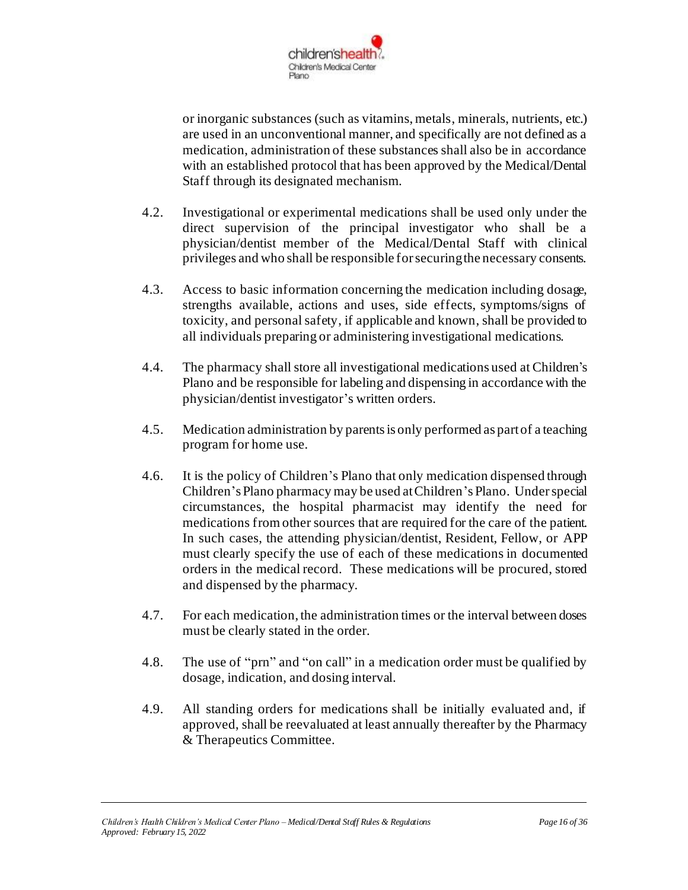

or inorganic substances (such as vitamins, metals, minerals, nutrients, etc.) are used in an unconventional manner, and specifically are not defined as a medication, administration of these substances shall also be in accordance with an established protocol that has been approved by the Medical/Dental Staff through its designated mechanism.

- 4.2. Investigational or experimental medications shall be used only under the direct supervision of the principal investigator who shall be a physician/dentist member of the Medical/Dental Staff with clinical privileges and who shall be responsible for securing the necessary consents.
- 4.3. Access to basic information concerning the medication including dosage, strengths available, actions and uses, side effects, symptoms/signs of toxicity, and personal safety, if applicable and known, shall be provided to all individuals preparing or administering investigational medications.
- 4.4. The pharmacy shall store all investigational medications used at Children's Plano and be responsible for labeling and dispensing in accordance with the physician/dentist investigator's written orders.
- 4.5. Medication administration by parents is only performed as part of a teaching program for home use.
- 4.6. It is the policy of Children's Plano that only medication dispensed through Children's Plano pharmacy may be used at Children's Plano. Under special circumstances, the hospital pharmacist may identify the need for medications from other sources that are required for the care of the patient. In such cases, the attending physician/dentist, Resident, Fellow, or APP must clearly specify the use of each of these medications in documented orders in the medical record. These medications will be procured, stored and dispensed by the pharmacy.
- 4.7. For each medication, the administration times or the interval between doses must be clearly stated in the order.
- 4.8. The use of "prn" and "on call" in a medication order must be qualified by dosage, indication, and dosing interval.
- 4.9. All standing orders for medications shall be initially evaluated and, if approved, shall be reevaluated at least annually thereafter by the Pharmacy & Therapeutics Committee.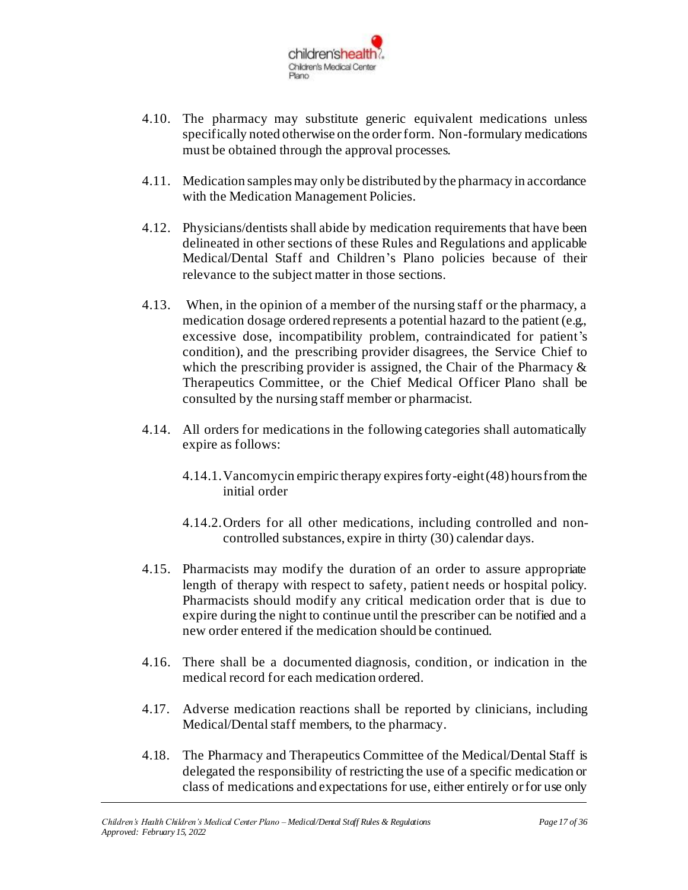

- 4.10. The pharmacy may substitute generic equivalent medications unless specifically noted otherwise on the order form. Non-formulary medications must be obtained through the approval processes.
- 4.11. Medication samples may only be distributed by the pharmacy in accordance with the Medication Management Policies.
- 4.12. Physicians/dentists shall abide by medication requirements that have been delineated in other sections of these Rules and Regulations and applicable Medical/Dental Staff and Children's Plano policies because of their relevance to the subject matter in those sections.
- 4.13. When, in the opinion of a member of the nursing staff or the pharmacy, a medication dosage ordered represents a potential hazard to the patient (e.g., excessive dose, incompatibility problem, contraindicated for patient's condition), and the prescribing provider disagrees, the Service Chief to which the prescribing provider is assigned, the Chair of the Pharmacy  $\&$ Therapeutics Committee, or the Chief Medical Officer Plano shall be consulted by the nursing staff member or pharmacist.
- 4.14. All orders for medications in the following categories shall automatically expire as follows:
	- 4.14.1.Vancomycin empiric therapy expires forty-eight (48) hoursfrom the initial order
	- 4.14.2.Orders for all other medications, including controlled and noncontrolled substances, expire in thirty (30) calendar days.
- 4.15. Pharmacists may modify the duration of an order to assure appropriate length of therapy with respect to safety, patient needs or hospital policy. Pharmacists should modify any critical medication order that is due to expire during the night to continue until the prescriber can be notified and a new order entered if the medication should be continued.
- 4.16. There shall be a documented diagnosis, condition, or indication in the medical record for each medication ordered.
- 4.17. Adverse medication reactions shall be reported by clinicians, including Medical/Dental staff members, to the pharmacy.
- 4.18. The Pharmacy and Therapeutics Committee of the Medical/Dental Staff is delegated the responsibility of restricting the use of a specific medication or class of medications and expectations for use, either entirely or for use only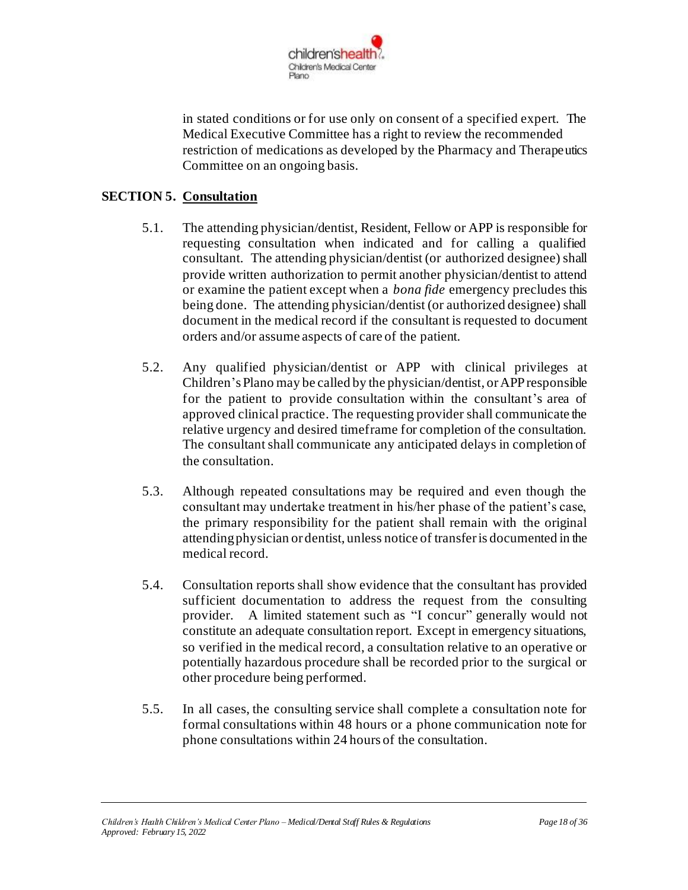

in stated conditions or for use only on consent of a specified expert. The Medical Executive Committee has a right to review the recommended restriction of medications as developed by the Pharmacy and Therapeutics Committee on an ongoing basis.

### **SECTION 5. Consultation**

- 5.1. The attending physician/dentist, Resident, Fellow or APP is responsible for requesting consultation when indicated and for calling a qualified consultant. The attending physician/dentist (or authorized designee) shall provide written authorization to permit another physician/dentist to attend or examine the patient except when a *bona fide* emergency precludes this being done. The attending physician/dentist (or authorized designee) shall document in the medical record if the consultant is requested to document orders and/or assume aspects of care of the patient.
- 5.2. Any qualified physician/dentist or APP with clinical privileges at Children's Plano may be called by the physician/dentist, or APPresponsible for the patient to provide consultation within the consultant's area of approved clinical practice. The requesting provider shall communicate the relative urgency and desired timeframe for completion of the consultation. The consultant shall communicate any anticipated delays in completion of the consultation.
- 5.3. Although repeated consultations may be required and even though the consultant may undertake treatment in his/her phase of the patient's case, the primary responsibility for the patient shall remain with the original attending physician or dentist, unless notice of transfer is documented in the medical record.
- 5.4. Consultation reports shall show evidence that the consultant has provided sufficient documentation to address the request from the consulting provider. A limited statement such as "I concur" generally would not constitute an adequate consultation report. Except in emergency situations, so verified in the medical record, a consultation relative to an operative or potentially hazardous procedure shall be recorded prior to the surgical or other procedure being performed.
- 5.5. In all cases, the consulting service shall complete a consultation note for formal consultations within 48 hours or a phone communication note for phone consultations within 24 hours of the consultation.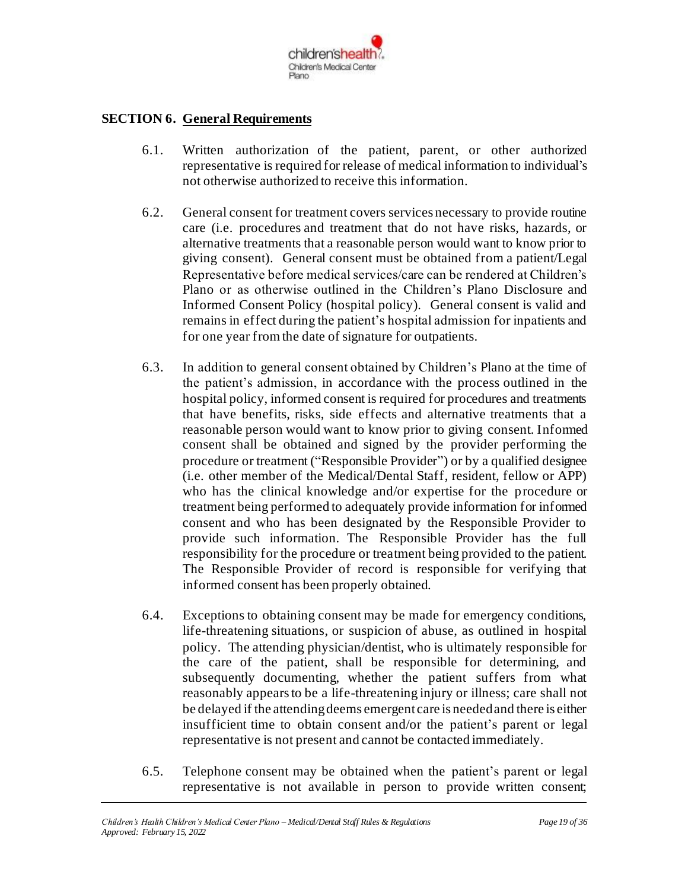

#### **SECTION 6. General Requirements**

- 6.1. Written authorization of the patient, parent, or other authorized representative is required for release of medical information to individual's not otherwise authorized to receive this information.
- 6.2. General consent for treatment covers services necessary to provide routine care (i.e. procedures and treatment that do not have risks, hazards, or alternative treatments that a reasonable person would want to know prior to giving consent). General consent must be obtained from a patient/Legal Representative before medical services/care can be rendered at Children's Plano or as otherwise outlined in the Children's Plano Disclosure and Informed Consent Policy (hospital policy). General consent is valid and remains in effect during the patient's hospital admission for inpatients and for one year from the date of signature for outpatients.
- 6.3. In addition to general consent obtained by Children's Plano at the time of the patient's admission, in accordance with the process outlined in the hospital policy, informed consent is required for procedures and treatments that have benefits, risks, side effects and alternative treatments that a reasonable person would want to know prior to giving consent. Informed consent shall be obtained and signed by the provider performing the procedure or treatment ("Responsible Provider") or by a qualified designee (i.e. other member of the Medical/Dental Staff, resident, fellow or APP) who has the clinical knowledge and/or expertise for the procedure or treatment being performed to adequately provide information for informed consent and who has been designated by the Responsible Provider to provide such information. The Responsible Provider has the full responsibility for the procedure or treatment being provided to the patient. The Responsible Provider of record is responsible for verifying that informed consent has been properly obtained.
- 6.4. Exceptions to obtaining consent may be made for emergency conditions, life-threatening situations, or suspicion of abuse, as outlined in hospital policy. The attending physician/dentist, who is ultimately responsible for the care of the patient, shall be responsible for determining, and subsequently documenting, whether the patient suffers from what reasonably appears to be a life-threatening injury or illness; care shall not be delayed if the attending deems emergent care is needed and there is either insufficient time to obtain consent and/or the patient's parent or legal representative is not present and cannot be contacted immediately.
- 6.5. Telephone consent may be obtained when the patient's parent or legal representative is not available in person to provide written consent;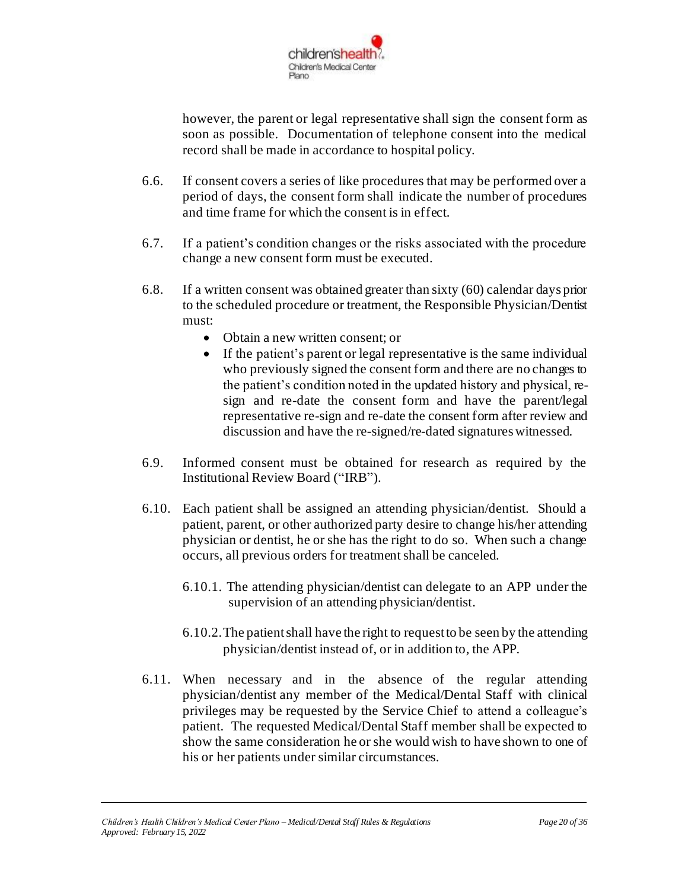

however, the parent or legal representative shall sign the consent form as soon as possible. Documentation of telephone consent into the medical record shall be made in accordance to hospital policy.

- 6.6. If consent covers a series of like procedures that may be performed over a period of days, the consent form shall indicate the number of procedures and time frame for which the consent is in effect.
- 6.7. If a patient's condition changes or the risks associated with the procedure change a new consent form must be executed.
- 6.8. If a written consent was obtained greater than sixty (60) calendar days prior to the scheduled procedure or treatment, the Responsible Physician/Dentist must:
	- Obtain a new written consent; or
	- If the patient's parent or legal representative is the same individual who previously signed the consent form and there are no changes to the patient's condition noted in the updated history and physical, resign and re-date the consent form and have the parent/legal representative re-sign and re-date the consent form after review and discussion and have the re-signed/re-dated signatures witnessed.
- 6.9. Informed consent must be obtained for research as required by the Institutional Review Board ("IRB").
- 6.10. Each patient shall be assigned an attending physician/dentist. Should a patient, parent, or other authorized party desire to change his/her attending physician or dentist, he or she has the right to do so. When such a change occurs, all previous orders for treatment shall be canceled.
	- 6.10.1. The attending physician/dentist can delegate to an APP under the supervision of an attending physician/dentist.
	- 6.10.2.The patient shall have the right to request to be seen by the attending physician/dentist instead of, or in addition to, the APP.
- 6.11. When necessary and in the absence of the regular attending physician/dentist any member of the Medical/Dental Staff with clinical privileges may be requested by the Service Chief to attend a colleague's patient. The requested Medical/Dental Staff member shall be expected to show the same consideration he or she would wish to have shown to one of his or her patients under similar circumstances.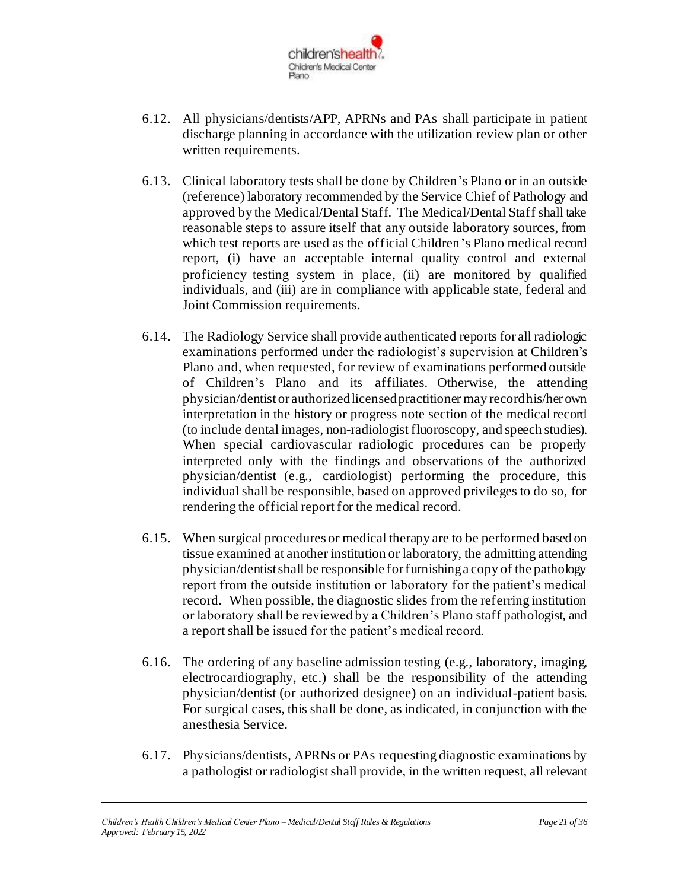

- 6.12. All physicians/dentists/APP, APRNs and PAs shall participate in patient discharge planning in accordance with the utilization review plan or other written requirements.
- 6.13. Clinical laboratory tests shall be done by Children's Plano or in an outside (reference) laboratory recommended by the Service Chief of Pathology and approved by the Medical/Dental Staff. The Medical/Dental Staff shall take reasonable steps to assure itself that any outside laboratory sources, from which test reports are used as the official Children's Plano medical record report, (i) have an acceptable internal quality control and external proficiency testing system in place, (ii) are monitored by qualified individuals, and (iii) are in compliance with applicable state, federal and Joint Commission requirements.
- 6.14. The Radiology Service shall provide authenticated reports for all radiologic examinations performed under the radiologist's supervision at Children's Plano and, when requested, for review of examinations performed outside of Children's Plano and its affiliates. Otherwise, the attending physician/dentist or authorized licensed practitioner may record his/her own interpretation in the history or progress note section of the medical record (to include dental images, non-radiologist fluoroscopy, and speech studies). When special cardiovascular radiologic procedures can be properly interpreted only with the findings and observations of the authorized physician/dentist (e.g., cardiologist) performing the procedure, this individual shall be responsible, based on approved privileges to do so, for rendering the official report for the medical record.
- 6.15. When surgical procedures or medical therapy are to be performed based on tissue examined at another institution or laboratory, the admitting attending physician/dentist shall be responsible for furnishing a copy of the pathology report from the outside institution or laboratory for the patient's medical record. When possible, the diagnostic slides from the referring institution or laboratory shall be reviewed by a Children's Plano staff pathologist, and a report shall be issued for the patient's medical record.
- 6.16. The ordering of any baseline admission testing (e.g., laboratory, imaging, electrocardiography, etc.) shall be the responsibility of the attending physician/dentist (or authorized designee) on an individual-patient basis. For surgical cases, this shall be done, as indicated, in conjunction with the anesthesia Service.
- 6.17. Physicians/dentists, APRNs or PAs requesting diagnostic examinations by a pathologist or radiologist shall provide, in the written request, all relevant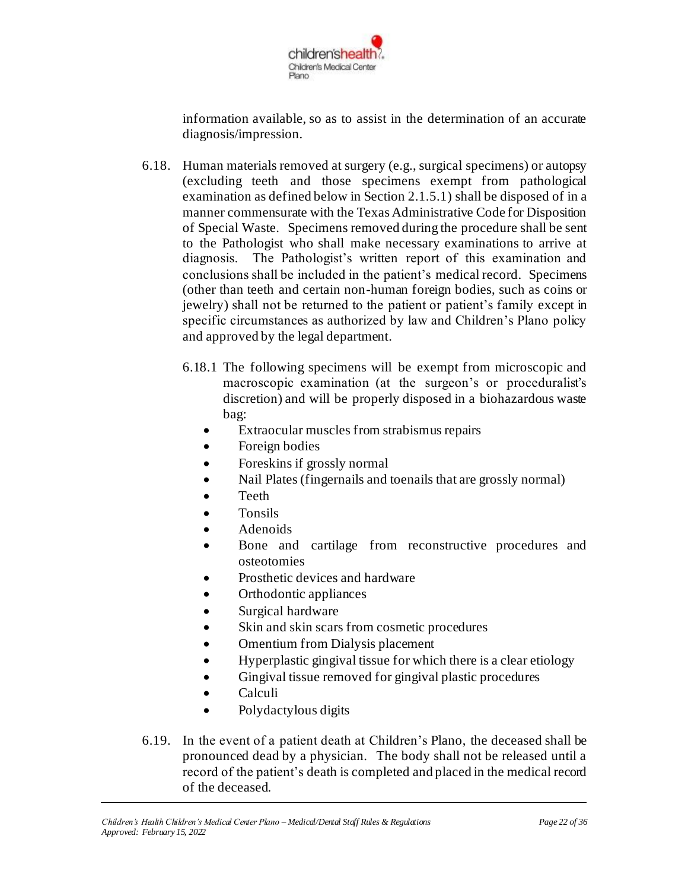

information available, so as to assist in the determination of an accurate diagnosis/impression.

- 6.18. Human materials removed at surgery (e.g., surgical specimens) or autopsy (excluding teeth and those specimens exempt from pathological examination as defined below in Section 2.1.5.1) shall be disposed of in a manner commensurate with the Texas Administrative Code for Disposition of Special Waste. Specimens removed during the procedure shall be sent to the Pathologist who shall make necessary examinations to arrive at diagnosis. The Pathologist's written report of this examination and conclusions shall be included in the patient's medical record. Specimens (other than teeth and certain non-human foreign bodies, such as coins or jewelry) shall not be returned to the patient or patient's family except in specific circumstances as authorized by law and Children's Plano policy and approved by the legal department.
	- 6.18.1 The following specimens will be exempt from microscopic and macroscopic examination (at the surgeon's or proceduralist's discretion) and will be properly disposed in a biohazardous waste bag:
		- Extraocular muscles from strabismus repairs
		- Foreign bodies
		- Foreskins if grossly normal
		- Nail Plates (fingernails and toenails that are grossly normal)
		- Teeth
		- Tonsils
		- Adenoids
		- Bone and cartilage from reconstructive procedures and osteotomies
		- Prosthetic devices and hardware
		- Orthodontic appliances
		- Surgical hardware
		- Skin and skin scars from cosmetic procedures
		- Omentium from Dialysis placement
		- Hyperplastic gingival tissue for which there is a clear etiology
		- Gingival tissue removed for gingival plastic procedures
		- Calculi
		- Polydactylous digits
- 6.19. In the event of a patient death at Children's Plano, the deceased shall be pronounced dead by a physician. The body shall not be released until a record of the patient's death is completed and placed in the medical record of the deceased.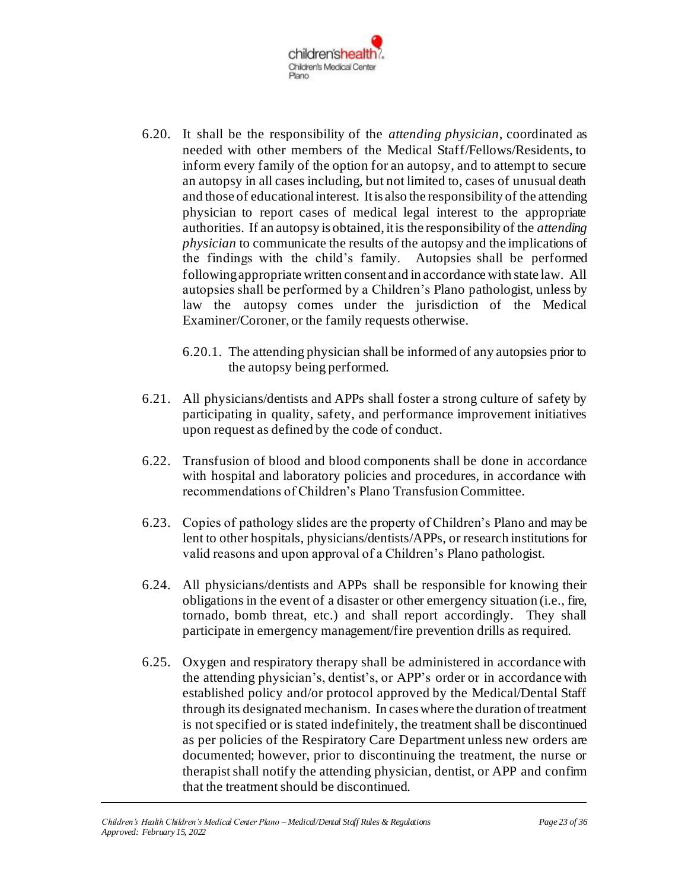

- 6.20. It shall be the responsibility of the *attending physician*, coordinated as needed with other members of the Medical Staff/Fellows/Residents, to inform every family of the option for an autopsy, and to attempt to secure an autopsy in all cases including, but not limited to, cases of unusual death and those of educational interest. It is also the responsibility of the attending physician to report cases of medical legal interest to the appropriate authorities. If an autopsy is obtained, it is the responsibility of the *attending physician* to communicate the results of the autopsy and the implications of the findings with the child's family. Autopsies shall be performed following appropriate written consent and in accordance with state law. All autopsies shall be performed by a Children's Plano pathologist, unless by law the autopsy comes under the jurisdiction of the Medical Examiner/Coroner, or the family requests otherwise.
	- 6.20.1. The attending physician shall be informed of any autopsies prior to the autopsy being performed.
- 6.21. All physicians/dentists and APPs shall foster a strong culture of safety by participating in quality, safety, and performance improvement initiatives upon request as defined by the code of conduct.
- 6.22. Transfusion of blood and blood components shall be done in accordance with hospital and laboratory policies and procedures, in accordance with recommendations of Children's Plano Transfusion Committee.
- 6.23. Copies of pathology slides are the property of Children's Plano and may be lent to other hospitals, physicians/dentists/APPs, or research institutions for valid reasons and upon approval of a Children's Plano pathologist.
- 6.24. All physicians/dentists and APPs shall be responsible for knowing their obligations in the event of a disaster or other emergency situation (i.e., fire, tornado, bomb threat, etc.) and shall report accordingly. They shall participate in emergency management/fire prevention drills as required.
- 6.25. Oxygen and respiratory therapy shall be administered in accordance with the attending physician's, dentist's, or APP's order or in accordance with established policy and/or protocol approved by the Medical/Dental Staff through its designated mechanism. In cases where the duration of treatment is not specified or is stated indefinitely, the treatment shall be discontinued as per policies of the Respiratory Care Department unless new orders are documented; however, prior to discontinuing the treatment, the nurse or therapist shall notify the attending physician, dentist, or APP and confirm that the treatment should be discontinued.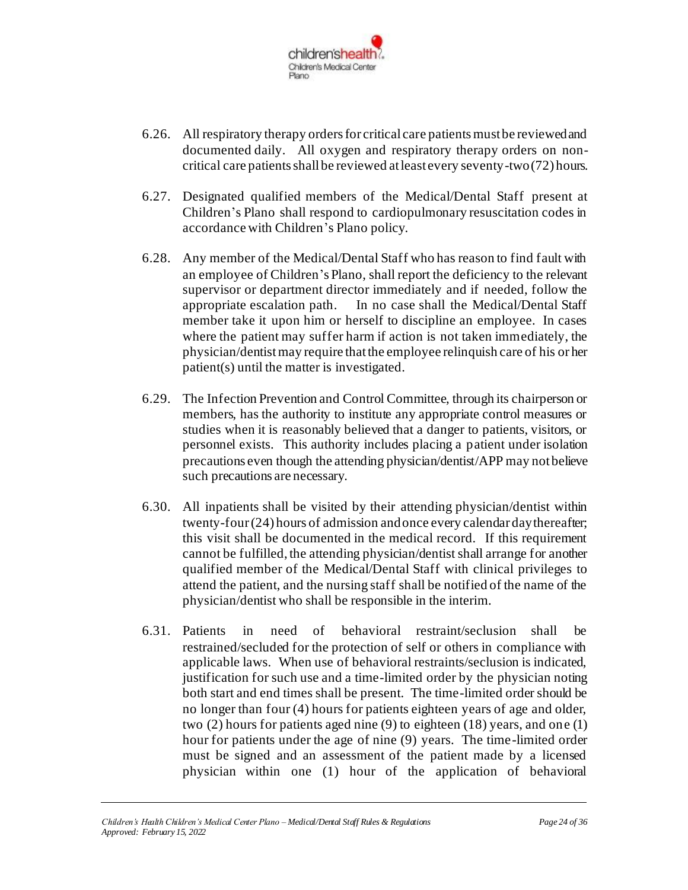

- 6.26. All respiratory therapy orders for critical care patients must be reviewed and documented daily. All oxygen and respiratory therapy orders on noncritical care patients shall be reviewed at least every seventy-two (72) hours.
- 6.27. Designated qualified members of the Medical/Dental Staff present at Children's Plano shall respond to cardiopulmonary resuscitation codes in accordance with Children's Plano policy.
- 6.28. Any member of the Medical/Dental Staff who has reason to find fault with an employee of Children's Plano, shall report the deficiency to the relevant supervisor or department director immediately and if needed, follow the appropriate escalation path. In no case shall the Medical/Dental Staff member take it upon him or herself to discipline an employee. In cases where the patient may suffer harm if action is not taken immediately, the physician/dentist may require that the employee relinquish care of his or her patient(s) until the matter is investigated.
- 6.29. The Infection Prevention and Control Committee, through its chairperson or members, has the authority to institute any appropriate control measures or studies when it is reasonably believed that a danger to patients, visitors, or personnel exists. This authority includes placing a patient under isolation precautions even though the attending physician/dentist/APP may not believe such precautions are necessary.
- 6.30. All inpatients shall be visited by their attending physician/dentist within twenty-four (24) hours of admission and once every calendar day thereafter; this visit shall be documented in the medical record. If this requirement cannot be fulfilled, the attending physician/dentist shall arrange for another qualified member of the Medical/Dental Staff with clinical privileges to attend the patient, and the nursing staff shall be notified of the name of the physician/dentist who shall be responsible in the interim.
- 6.31. Patients in need of behavioral restraint/seclusion shall be restrained/secluded for the protection of self or others in compliance with applicable laws. When use of behavioral restraints/seclusion is indicated, justification for such use and a time-limited order by the physician noting both start and end times shall be present. The time-limited order should be no longer than four (4) hours for patients eighteen years of age and older, two (2) hours for patients aged nine (9) to eighteen (18) years, and one (1) hour for patients under the age of nine (9) years. The time-limited order must be signed and an assessment of the patient made by a licensed physician within one (1) hour of the application of behavioral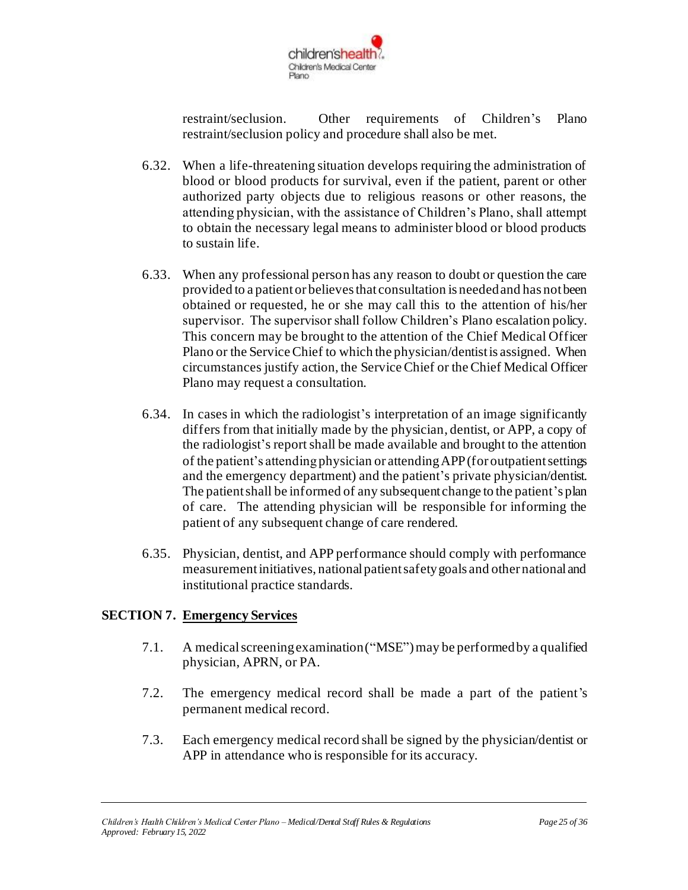

restraint/seclusion. Other requirements of Children's Plano restraint/seclusion policy and procedure shall also be met.

- 6.32. When a life-threatening situation develops requiring the administration of blood or blood products for survival, even if the patient, parent or other authorized party objects due to religious reasons or other reasons, the attending physician, with the assistance of Children's Plano, shall attempt to obtain the necessary legal means to administer blood or blood products to sustain life.
- 6.33. When any professional person has any reason to doubt or question the care provided to a patient or believes that consultation is needed and has not been obtained or requested, he or she may call this to the attention of his/her supervisor. The supervisor shall follow Children's Plano escalation policy. This concern may be brought to the attention of the Chief Medical Officer Plano or the Service Chief to which the physician/dentist is assigned. When circumstances justify action, the Service Chief or the Chief Medical Officer Plano may request a consultation.
- 6.34. In cases in which the radiologist's interpretation of an image significantly differs from that initially made by the physician, dentist, or APP, a copy of the radiologist's report shall be made available and brought to the attention of the patient's attendingphysician or attending APP(for outpatient settings and the emergency department) and the patient's private physician/dentist. The patient shall be informed of any subsequent change to the patient's plan of care. The attending physician will be responsible for informing the patient of any subsequent change of care rendered.
- 6.35. Physician, dentist, and APP performance should comply with performance measurement initiatives, national patient safety goals and other national and institutional practice standards.

### **SECTION 7. Emergency Services**

- 7.1. A medical screening examination ("MSE") may be performed by a qualified physician, APRN, or PA.
- 7.2. The emergency medical record shall be made a part of the patient's permanent medical record.
- 7.3. Each emergency medical record shall be signed by the physician/dentist or APP in attendance who is responsible for its accuracy.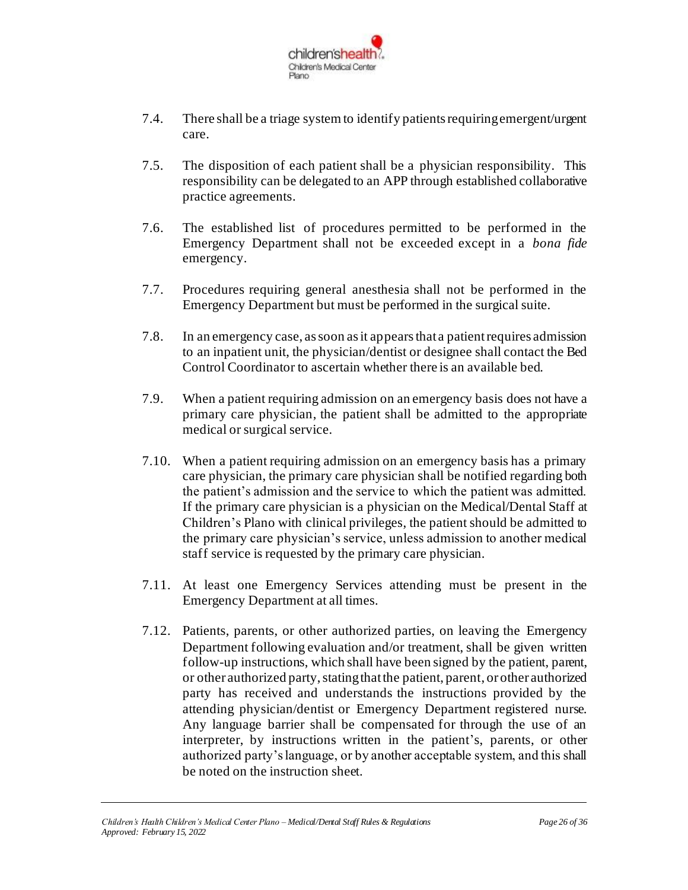

- 7.4. There shall be a triage system to identify patients requiring emergent/urgent care.
- 7.5. The disposition of each patient shall be a physician responsibility. This responsibility can be delegated to an APP through established collaborative practice agreements.
- 7.6. The established list of procedures permitted to be performed in the Emergency Department shall not be exceeded except in a *bona fide* emergency.
- 7.7. Procedures requiring general anesthesia shall not be performed in the Emergency Department but must be performed in the surgical suite.
- 7.8. In an emergency case, as soon as it appears that a patient requires admission to an inpatient unit, the physician/dentist or designee shall contact the Bed Control Coordinator to ascertain whether there is an available bed.
- 7.9. When a patient requiring admission on an emergency basis does not have a primary care physician, the patient shall be admitted to the appropriate medical or surgical service.
- 7.10. When a patient requiring admission on an emergency basis has a primary care physician, the primary care physician shall be notified regarding both the patient's admission and the service to which the patient was admitted. If the primary care physician is a physician on the Medical/Dental Staff at Children's Plano with clinical privileges, the patient should be admitted to the primary care physician's service, unless admission to another medical staff service is requested by the primary care physician.
- 7.11. At least one Emergency Services attending must be present in the Emergency Department at all times.
- 7.12. Patients, parents, or other authorized parties, on leaving the Emergency Department following evaluation and/or treatment, shall be given written follow-up instructions, which shall have been signed by the patient, parent, or other authorized party, stating that the patient, parent, or other authorized party has received and understands the instructions provided by the attending physician/dentist or Emergency Department registered nurse. Any language barrier shall be compensated for through the use of an interpreter, by instructions written in the patient's, parents, or other authorized party's language, or by another acceptable system, and this shall be noted on the instruction sheet.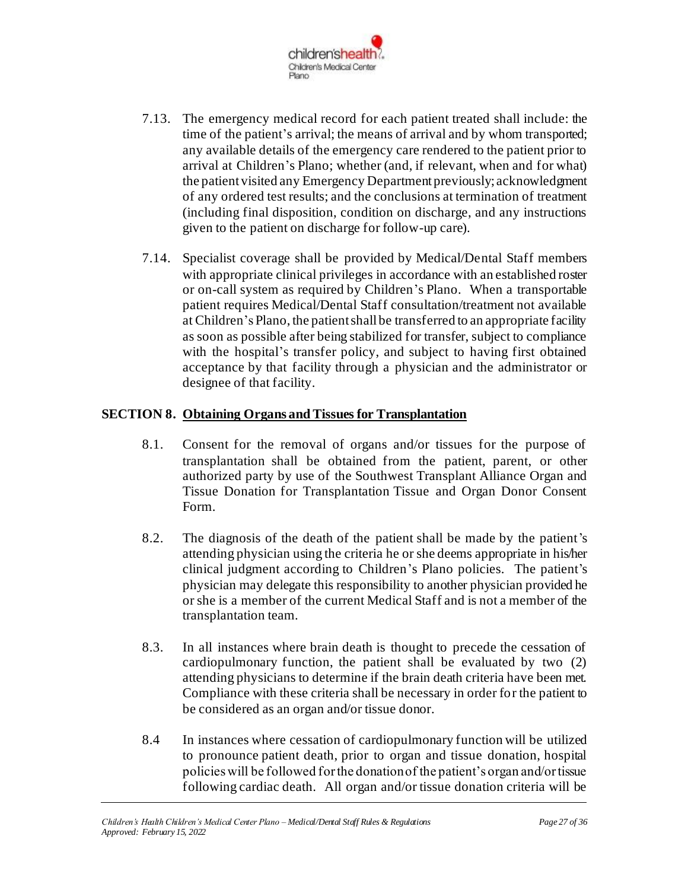

- 7.13. The emergency medical record for each patient treated shall include: the time of the patient's arrival; the means of arrival and by whom transported; any available details of the emergency care rendered to the patient prior to arrival at Children's Plano; whether (and, if relevant, when and for what) the patient visited any Emergency Department previously; acknowledgment of any ordered test results; and the conclusions at termination of treatment (including final disposition, condition on discharge, and any instructions given to the patient on discharge for follow-up care).
- 7.14. Specialist coverage shall be provided by Medical/Dental Staff members with appropriate clinical privileges in accordance with an established roster or on-call system as required by Children's Plano. When a transportable patient requires Medical/Dental Staff consultation/treatment not available at Children's Plano, the patient shall be transferred to an appropriate facility as soon as possible after being stabilized for transfer, subject to compliance with the hospital's transfer policy, and subject to having first obtained acceptance by that facility through a physician and the administrator or designee of that facility.

#### **SECTION 8. Obtaining Organs and Tissues for Transplantation**

- 8.1. Consent for the removal of organs and/or tissues for the purpose of transplantation shall be obtained from the patient, parent, or other authorized party by use of the Southwest Transplant Alliance Organ and Tissue Donation for Transplantation Tissue and Organ Donor Consent Form.
- 8.2. The diagnosis of the death of the patient shall be made by the patient's attending physician using the criteria he or she deems appropriate in his/her clinical judgment according to Children's Plano policies. The patient's physician may delegate this responsibility to another physician provided he or she is a member of the current Medical Staff and is not a member of the transplantation team.
- 8.3. In all instances where brain death is thought to precede the cessation of cardiopulmonary function, the patient shall be evaluated by two (2) attending physicians to determine if the brain death criteria have been met. Compliance with these criteria shall be necessary in order for the patient to be considered as an organ and/or tissue donor.
- 8.4 In instances where cessation of cardiopulmonary function will be utilized to pronounce patient death, prior to organ and tissue donation, hospital policies will be followed for the donation of the patient's organ and/or tissue following cardiac death. All organ and/or tissue donation criteria will be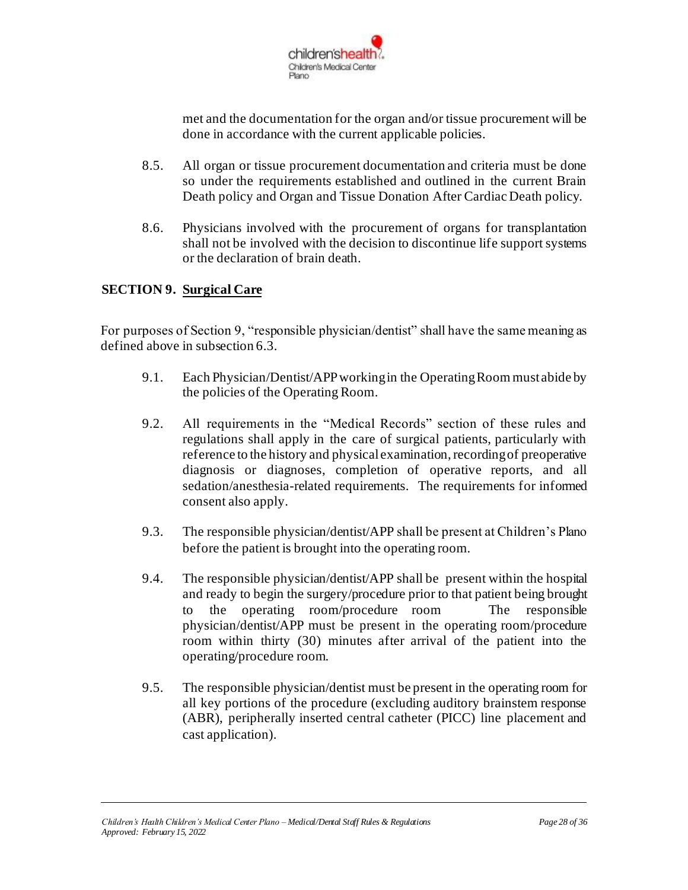

met and the documentation for the organ and/or tissue procurement will be done in accordance with the current applicable policies.

- 8.5. All organ or tissue procurement documentation and criteria must be done so under the requirements established and outlined in the current Brain Death policy and Organ and Tissue Donation After Cardiac Death policy.
- 8.6. Physicians involved with the procurement of organs for transplantation shall not be involved with the decision to discontinue life support systems or the declaration of brain death.

### **SECTION 9. Surgical Care**

For purposes of Section 9, "responsible physician/dentist" shall have the same meaning as defined above in subsection 6.3.

- 9.1. Each Physician/Dentist/APPworking in the Operating Room must abide by the policies of the Operating Room.
- 9.2. All requirements in the "Medical Records" section of these rules and regulations shall apply in the care of surgical patients, particularly with reference to the history and physical examination, recording of preoperative diagnosis or diagnoses, completion of operative reports, and all sedation/anesthesia-related requirements. The requirements for informed consent also apply.
- 9.3. The responsible physician/dentist/APP shall be present at Children's Plano before the patient is brought into the operating room.
- 9.4. The responsible physician/dentist/APP shall be present within the hospital and ready to begin the surgery/procedure prior to that patient being brought to the operating room/procedure room The responsible physician/dentist/APP must be present in the operating room/procedure room within thirty (30) minutes after arrival of the patient into the operating/procedure room.
- 9.5. The responsible physician/dentist must be present in the operating room for all key portions of the procedure (excluding auditory brainstem response (ABR), peripherally inserted central catheter (PICC) line placement and cast application).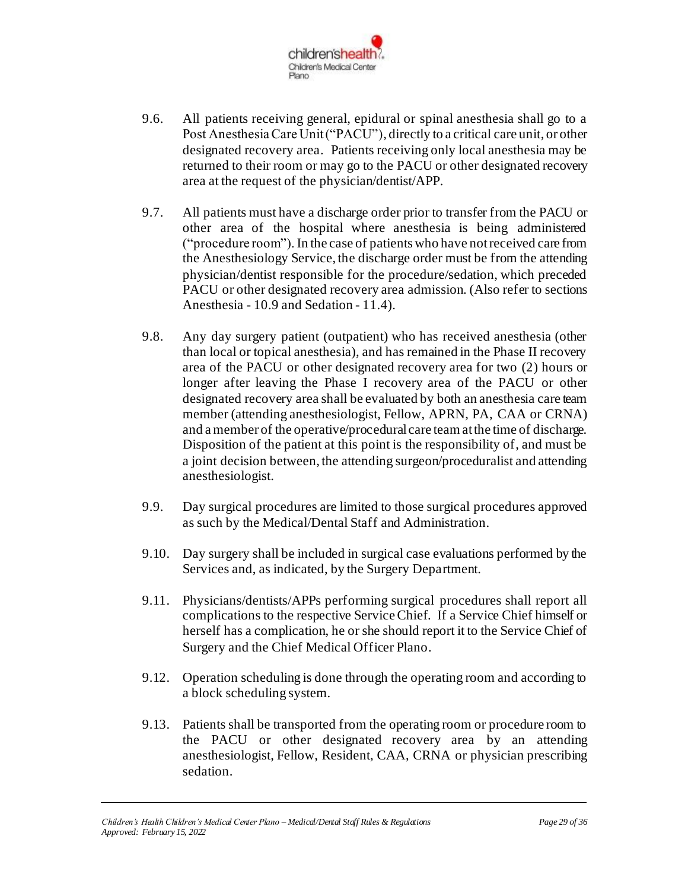

- 9.6. All patients receiving general, epidural or spinal anesthesia shall go to a Post Anesthesia Care Unit ("PACU"), directly to a critical care unit, or other designated recovery area. Patients receiving only local anesthesia may be returned to their room or may go to the PACU or other designated recovery area at the request of the physician/dentist/APP.
- 9.7. All patients must have a discharge order prior to transfer from the PACU or other area of the hospital where anesthesia is being administered ("procedure room"). In the case of patients who have not received care from the Anesthesiology Service, the discharge order must be from the attending physician/dentist responsible for the procedure/sedation, which preceded PACU or other designated recovery area admission. (Also refer to sections Anesthesia - 10.9 and Sedation - 11.4).
- 9.8. Any day surgery patient (outpatient) who has received anesthesia (other than local or topical anesthesia), and has remained in the Phase II recovery area of the PACU or other designated recovery area for two (2) hours or longer after leaving the Phase I recovery area of the PACU or other designated recovery area shall be evaluated by both an anesthesia care team member (attending anesthesiologist, Fellow, APRN, PA, CAA or CRNA) and a member of the operative/procedural care team at the time of discharge. Disposition of the patient at this point is the responsibility of, and must be a joint decision between, the attending surgeon/proceduralist and attending anesthesiologist.
- 9.9. Day surgical procedures are limited to those surgical procedures approved as such by the Medical/Dental Staff and Administration.
- 9.10. Day surgery shall be included in surgical case evaluations performed by the Services and, as indicated, by the Surgery Department.
- 9.11. Physicians/dentists/APPs performing surgical procedures shall report all complications to the respective Service Chief. If a Service Chief himself or herself has a complication, he or she should report it to the Service Chief of Surgery and the Chief Medical Officer Plano.
- 9.12. Operation scheduling is done through the operating room and according to a block scheduling system.
- 9.13. Patients shall be transported from the operating room or procedure room to the PACU or other designated recovery area by an attending anesthesiologist, Fellow, Resident, CAA, CRNA or physician prescribing sedation.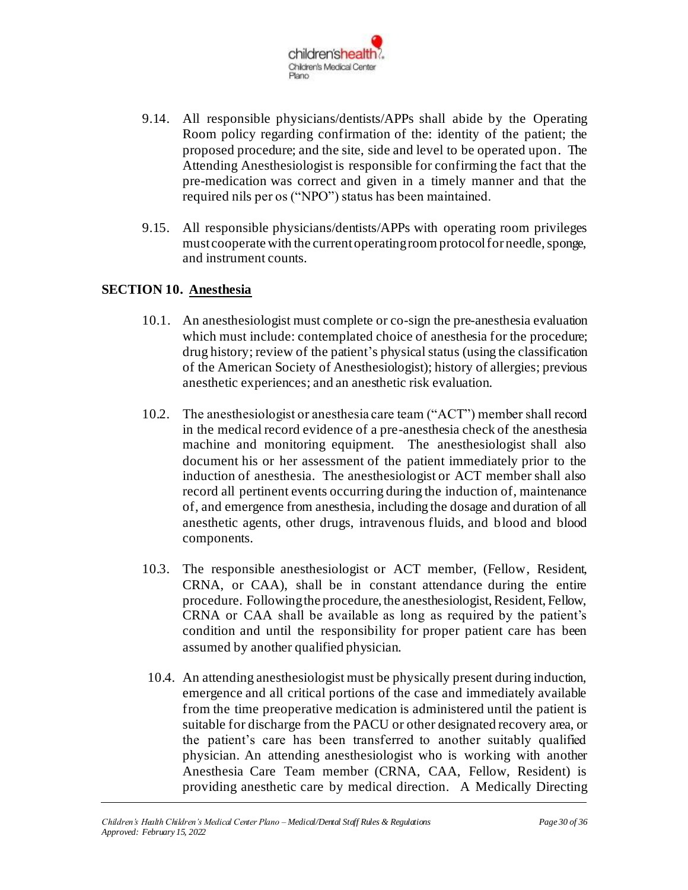

- 9.14. All responsible physicians/dentists/APPs shall abide by the Operating Room policy regarding confirmation of the: identity of the patient; the proposed procedure; and the site, side and level to be operated upon. The Attending Anesthesiologist is responsible for confirming the fact that the pre-medication was correct and given in a timely manner and that the required nils per os ("NPO") status has been maintained.
- 9.15. All responsible physicians/dentists/APPs with operating room privileges must cooperate with the current operating room protocol for needle, sponge, and instrument counts.

#### **SECTION 10. Anesthesia**

- 10.1. An anesthesiologist must complete or co-sign the pre-anesthesia evaluation which must include: contemplated choice of anesthesia for the procedure; drug history; review of the patient's physical status (using the classification of the American Society of Anesthesiologist); history of allergies; previous anesthetic experiences; and an anesthetic risk evaluation.
- 10.2. The anesthesiologist or anesthesia care team ("ACT") member shall record in the medical record evidence of a pre-anesthesia check of the anesthesia machine and monitoring equipment. The anesthesiologist shall also document his or her assessment of the patient immediately prior to the induction of anesthesia. The anesthesiologist or ACT member shall also record all pertinent events occurring during the induction of, maintenance of, and emergence from anesthesia, including the dosage and duration of all anesthetic agents, other drugs, intravenous fluids, and blood and blood components.
- 10.3. The responsible anesthesiologist or ACT member, (Fellow, Resident, CRNA, or CAA), shall be in constant attendance during the entire procedure. Following the procedure, the anesthesiologist, Resident, Fellow, CRNA or CAA shall be available as long as required by the patient's condition and until the responsibility for proper patient care has been assumed by another qualified physician.
- 10.4. An attending anesthesiologist must be physically present during induction, emergence and all critical portions of the case and immediately available from the time preoperative medication is administered until the patient is suitable for discharge from the PACU or other designated recovery area, or the patient's care has been transferred to another suitably qualified physician. An attending anesthesiologist who is working with another Anesthesia Care Team member (CRNA, CAA, Fellow, Resident) is providing anesthetic care by medical direction. A Medically Directing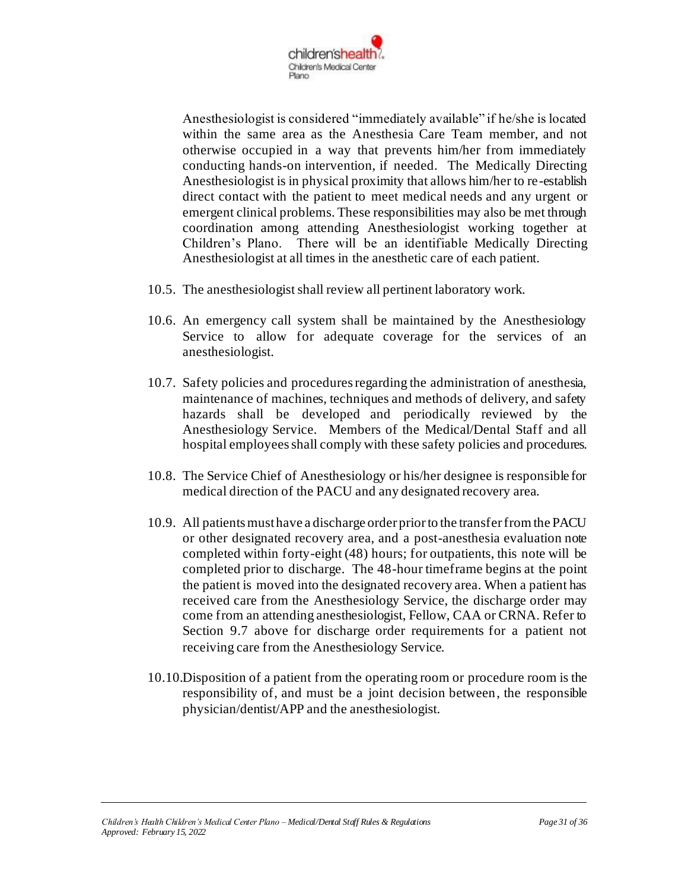

Anesthesiologist is considered "immediately available" if he/she is located within the same area as the Anesthesia Care Team member, and not otherwise occupied in a way that prevents him/her from immediately conducting hands-on intervention, if needed. The Medically Directing Anesthesiologist is in physical proximity that allows him/her to re-establish direct contact with the patient to meet medical needs and any urgent or emergent clinical problems. These responsibilities may also be met through coordination among attending Anesthesiologist working together at Children's Plano. There will be an identifiable Medically Directing Anesthesiologist at all times in the anesthetic care of each patient.

- 10.5. The anesthesiologist shall review all pertinent laboratory work.
- 10.6. An emergency call system shall be maintained by the Anesthesiology Service to allow for adequate coverage for the services of an anesthesiologist.
- 10.7. Safety policies and procedures regarding the administration of anesthesia, maintenance of machines, techniques and methods of delivery, and safety hazards shall be developed and periodically reviewed by the Anesthesiology Service. Members of the Medical/Dental Staff and all hospital employees shall comply with these safety policies and procedures.
- 10.8. The Service Chief of Anesthesiology or his/her designee is responsible for medical direction of the PACU and any designated recovery area.
- 10.9. All patients must have a discharge order prior to the transfer from the PACU or other designated recovery area, and a post-anesthesia evaluation note completed within forty-eight (48) hours; for outpatients, this note will be completed prior to discharge. The 48-hour timeframe begins at the point the patient is moved into the designated recovery area. When a patient has received care from the Anesthesiology Service, the discharge order may come from an attending anesthesiologist, Fellow, CAA or CRNA. Refer to Section 9.7 above for discharge order requirements for a patient not receiving care from the Anesthesiology Service.
- 10.10.Disposition of a patient from the operating room or procedure room is the responsibility of, and must be a joint decision between, the responsible physician/dentist/APP and the anesthesiologist.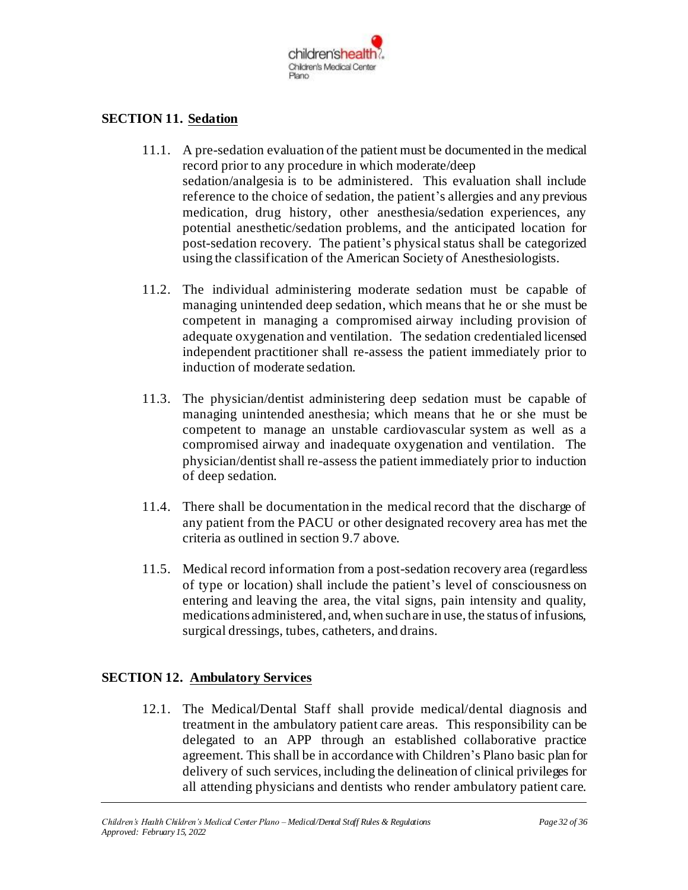

### **SECTION 11. Sedation**

- 11.1. A pre-sedation evaluation of the patient must be documented in the medical record prior to any procedure in which moderate/deep sedation/analgesia is to be administered. This evaluation shall include reference to the choice of sedation, the patient's allergies and any previous medication, drug history, other anesthesia/sedation experiences, any potential anesthetic/sedation problems, and the anticipated location for post-sedation recovery. The patient's physical status shall be categorized using the classification of the American Society of Anesthesiologists.
- 11.2. The individual administering moderate sedation must be capable of managing unintended deep sedation, which means that he or she must be competent in managing a compromised airway including provision of adequate oxygenation and ventilation. The sedation credentialed licensed independent practitioner shall re-assess the patient immediately prior to induction of moderate sedation.
- 11.3. The physician/dentist administering deep sedation must be capable of managing unintended anesthesia; which means that he or she must be competent to manage an unstable cardiovascular system as well as a compromised airway and inadequate oxygenation and ventilation. The physician/dentist shall re-assess the patient immediately prior to induction of deep sedation.
- 11.4. There shall be documentation in the medical record that the discharge of any patient from the PACU or other designated recovery area has met the criteria as outlined in section 9.7 above.
- 11.5. Medical record information from a post-sedation recovery area (regardless of type or location) shall include the patient's level of consciousness on entering and leaving the area, the vital signs, pain intensity and quality, medications administered, and, when such are in use, the status of infusions, surgical dressings, tubes, catheters, and drains.

### **SECTION 12. Ambulatory Services**

12.1. The Medical/Dental Staff shall provide medical/dental diagnosis and treatment in the ambulatory patient care areas. This responsibility can be delegated to an APP through an established collaborative practice agreement. This shall be in accordance with Children's Plano basic plan for delivery of such services, including the delineation of clinical privileges for all attending physicians and dentists who render ambulatory patient care.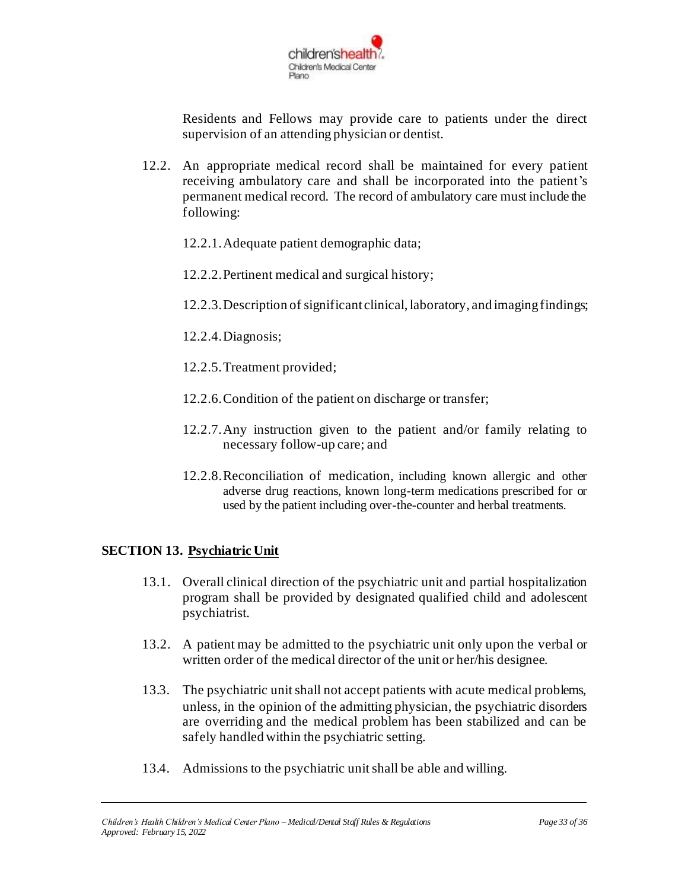

Residents and Fellows may provide care to patients under the direct supervision of an attending physician or dentist.

- 12.2. An appropriate medical record shall be maintained for every patient receiving ambulatory care and shall be incorporated into the patient's permanent medical record. The record of ambulatory care must include the following:
	- 12.2.1.Adequate patient demographic data;
	- 12.2.2.Pertinent medical and surgical history;
	- 12.2.3.Description of significant clinical, laboratory, and imagingfindings;
	- 12.2.4.Diagnosis;
	- 12.2.5.Treatment provided;
	- 12.2.6.Condition of the patient on discharge or transfer;
	- 12.2.7.Any instruction given to the patient and/or family relating to necessary follow-up care; and
	- 12.2.8.Reconciliation of medication, including known allergic and other adverse drug reactions, known long-term medications prescribed for or used by the patient including over-the-counter and herbal treatments.

### **SECTION 13. Psychiatric Unit**

- 13.1. Overall clinical direction of the psychiatric unit and partial hospitalization program shall be provided by designated qualified child and adolescent psychiatrist.
- 13.2. A patient may be admitted to the psychiatric unit only upon the verbal or written order of the medical director of the unit or her/his designee.
- 13.3. The psychiatric unit shall not accept patients with acute medical problems, unless, in the opinion of the admitting physician, the psychiatric disorders are overriding and the medical problem has been stabilized and can be safely handled within the psychiatric setting.
- 13.4. Admissions to the psychiatric unit shall be able and willing.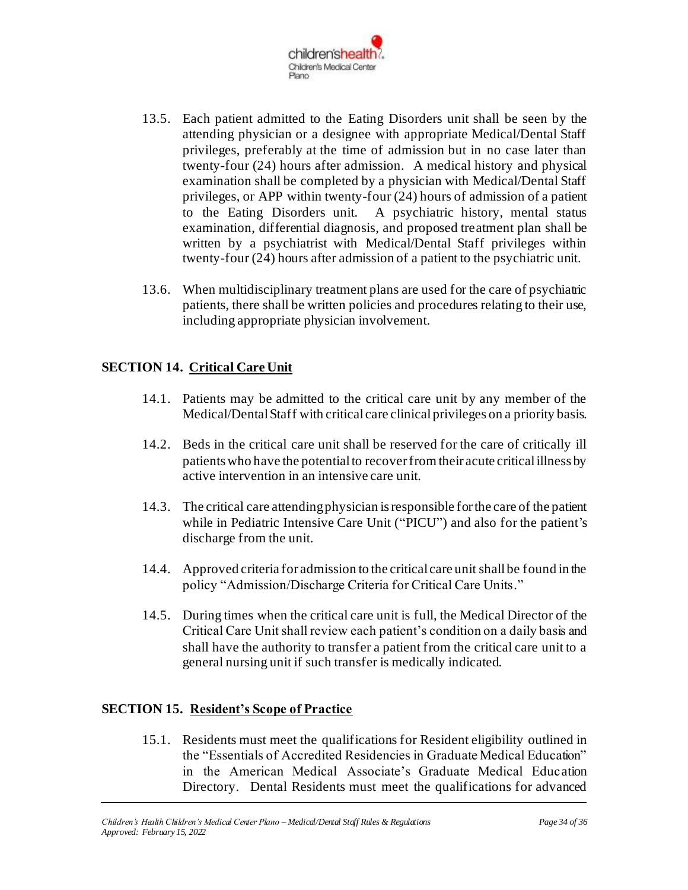

- 13.5. Each patient admitted to the Eating Disorders unit shall be seen by the attending physician or a designee with appropriate Medical/Dental Staff privileges, preferably at the time of admission but in no case later than twenty-four (24) hours after admission. A medical history and physical examination shall be completed by a physician with Medical/Dental Staff privileges, or APP within twenty-four (24) hours of admission of a patient to the Eating Disorders unit. A psychiatric history, mental status examination, differential diagnosis, and proposed treatment plan shall be written by a psychiatrist with Medical/Dental Staff privileges within twenty-four (24) hours after admission of a patient to the psychiatric unit.
- 13.6. When multidisciplinary treatment plans are used for the care of psychiatric patients, there shall be written policies and procedures relating to their use, including appropriate physician involvement.

### **SECTION 14. Critical Care Unit**

- 14.1. Patients may be admitted to the critical care unit by any member of the Medical/Dental Staff with critical care clinical privileges on a priority basis.
- 14.2. Beds in the critical care unit shall be reserved for the care of critically ill patients who have the potential to recover from their acute critical illness by active intervention in an intensive care unit.
- 14.3. The critical care attending physician is responsible for the care of the patient while in Pediatric Intensive Care Unit ("PICU") and also for the patient's discharge from the unit.
- 14.4. Approved criteria for admission to the critical care unit shall be found in the policy "Admission/Discharge Criteria for Critical Care Units."
- 14.5. During times when the critical care unit is full, the Medical Director of the Critical Care Unit shall review each patient's condition on a daily basis and shall have the authority to transfer a patient from the critical care unit to a general nursing unit if such transfer is medically indicated.

### **SECTION 15. Resident's Scope of Practice**

15.1. Residents must meet the qualifications for Resident eligibility outlined in the "Essentials of Accredited Residencies in Graduate Medical Education" in the American Medical Associate's Graduate Medical Education Directory. Dental Residents must meet the qualifications for advanced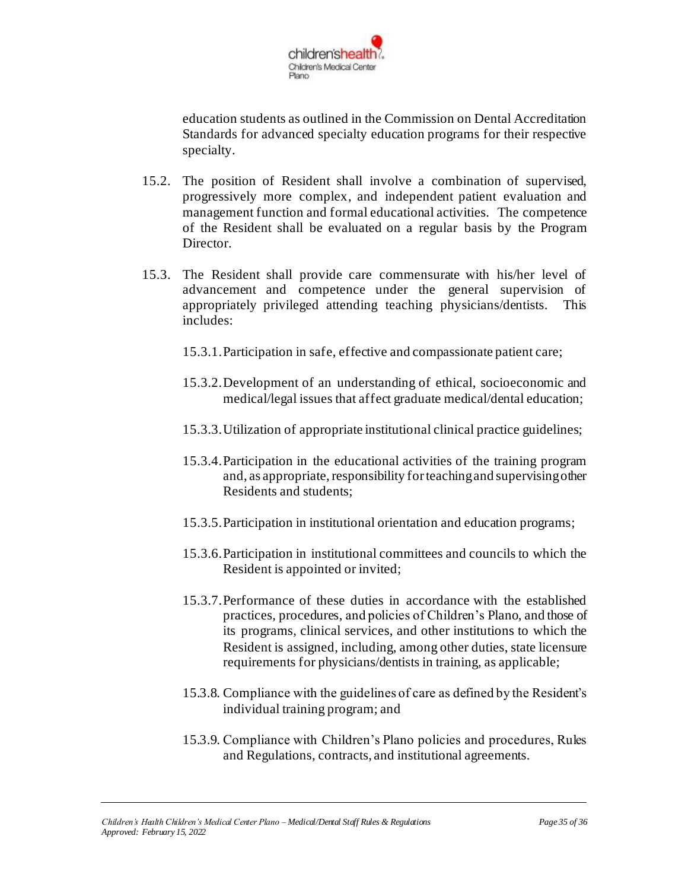

education students as outlined in the Commission on Dental Accreditation Standards for advanced specialty education programs for their respective specialty.

- 15.2. The position of Resident shall involve a combination of supervised, progressively more complex, and independent patient evaluation and management function and formal educational activities. The competence of the Resident shall be evaluated on a regular basis by the Program Director.
- 15.3. The Resident shall provide care commensurate with his/her level of advancement and competence under the general supervision of appropriately privileged attending teaching physicians/dentists. This includes:
	- 15.3.1.Participation in safe, effective and compassionate patient care;
	- 15.3.2.Development of an understanding of ethical, socioeconomic and medical/legal issues that affect graduate medical/dental education;
	- 15.3.3.Utilization of appropriate institutional clinical practice guidelines;
	- 15.3.4.Participation in the educational activities of the training program and, as appropriate, responsibility for teaching and supervising other Residents and students;
	- 15.3.5.Participation in institutional orientation and education programs;
	- 15.3.6.Participation in institutional committees and councils to which the Resident is appointed or invited;
	- 15.3.7.Performance of these duties in accordance with the established practices, procedures, and policies of Children's Plano, and those of its programs, clinical services, and other institutions to which the Resident is assigned, including, among other duties, state licensure requirements for physicians/dentists in training, as applicable;
	- 15.3.8. Compliance with the guidelines of care as defined by the Resident's individual training program; and
	- 15.3.9. Compliance with Children's Plano policies and procedures, Rules and Regulations, contracts, and institutional agreements.